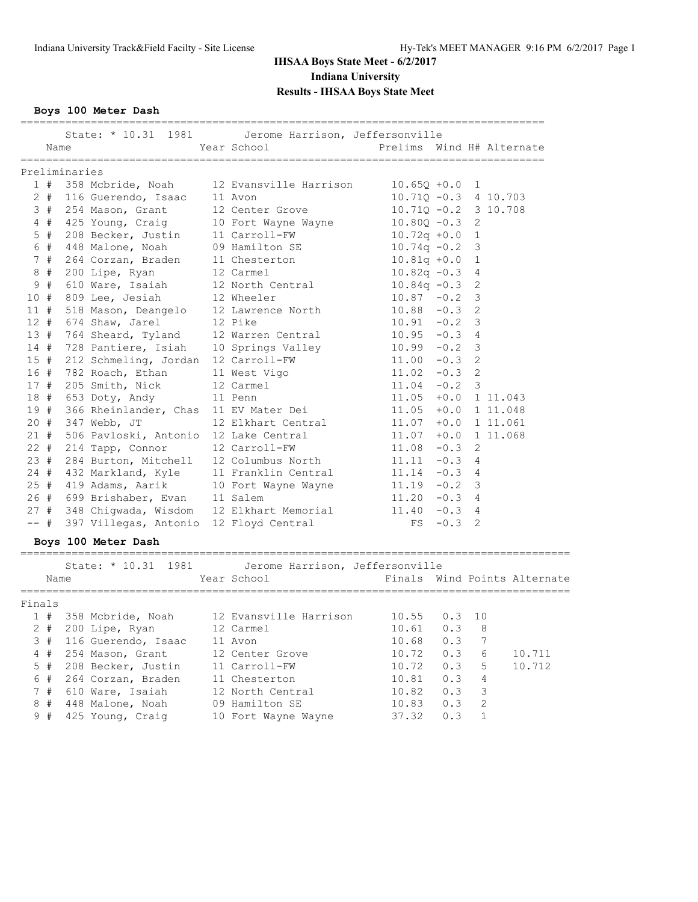**Boys 100 Meter Dash**

|        | Name  |               |                                             | State: * 10.31 1981   Jerome Harrison, Jeffersonville<br>Year School                                                                                                                                                                                           | Prelims Wind H# Alternate      |         |                         |                              |
|--------|-------|---------------|---------------------------------------------|----------------------------------------------------------------------------------------------------------------------------------------------------------------------------------------------------------------------------------------------------------------|--------------------------------|---------|-------------------------|------------------------------|
|        |       | Preliminaries |                                             |                                                                                                                                                                                                                                                                |                                |         |                         |                              |
|        |       |               |                                             | 1 # 358 Mcbride, Noah 12 Evansville Harrison 10.65Q +0.0 1                                                                                                                                                                                                     |                                |         |                         |                              |
|        |       |               |                                             |                                                                                                                                                                                                                                                                | $10.71Q - 0.3$ 4 10.703        |         |                         |                              |
|        |       |               |                                             |                                                                                                                                                                                                                                                                | $10.71Q - 0.2$ 3 10.708        |         |                         |                              |
|        |       |               |                                             | 2 # 116 Guerendo, Isaac 11 Avon 10.710 -0.3 4<br>3 # 254 Mason, Grant 12 Center Grove 10.710 -0.2 3<br>4 # 425 Young, Craig 10 Fort Wayne Wayne 10.800 -0.3 2<br>5 # 208 Becker, Justin 11 Carroll-FW 10.72q +0.0 1<br>6 # 448 Malone,                         |                                |         |                         |                              |
|        |       |               |                                             |                                                                                                                                                                                                                                                                |                                |         |                         |                              |
|        | 6#    |               | 448 Malone, Noah                            | 09 Hamilton SE                                                                                                                                                                                                                                                 | $10.74q - 0.2$                 |         | 3                       |                              |
|        | 7#    |               | 264 Corzan, Braden<br>200 Lipe, Ryan        | 264 Corzan, Braden<br>200 Lipe, Ryan<br>200 Lipe, Ryan<br>200 Lipe, Ryan<br>200 Lipe, Ryan<br>200 Lipe, Ryan<br>202 Carmel<br>202 Carmel<br>202 Carmel<br>202 Carmel<br>202 Carmel<br>202 Carmel<br>202 Carmel<br>202 Carmel<br>202 Carmel<br>202 Carmel<br>20 |                                |         | 1                       |                              |
|        | 8#    |               |                                             |                                                                                                                                                                                                                                                                |                                |         | 4                       |                              |
|        | 9#    |               |                                             |                                                                                                                                                                                                                                                                |                                |         | 2                       |                              |
|        | 10#   |               | 809 Lee, Jesiah                             |                                                                                                                                                                                                                                                                |                                |         | 3                       |                              |
|        | 11#   |               |                                             | 518 Mason, Deangelo 12 Miester (1992)<br>518 Mason, Deangelo 12 Lawrence North 10.88 -0.3 2<br>574 Shaw, Jarel 12 Pike 10.91 -0.2 3<br>764 Sheard, Tyland 12 Warren Central 10.95 -0.3 4                                                                       |                                |         |                         |                              |
|        |       |               | 12 # 674 Shaw, Jarel                        |                                                                                                                                                                                                                                                                |                                |         |                         |                              |
|        | 13#   |               |                                             |                                                                                                                                                                                                                                                                |                                |         |                         |                              |
|        | 14#   |               |                                             | 10.99 -0.2 3<br>128 Pantiere, Isiah 10 Springs Valley 10.99 -0.2 3<br>11.00 -0.3 2                                                                                                                                                                             |                                |         |                         |                              |
|        | 15#   |               |                                             |                                                                                                                                                                                                                                                                |                                |         |                         |                              |
|        | 16 #  |               |                                             | 782 Roach, Ethan 11 West Vigo                                                                                                                                                                                                                                  | $11.02 - 0.3$                  |         | 2                       |                              |
|        |       |               | 17 # 205 Smith, Nick                        | 12 Carmel                                                                                                                                                                                                                                                      | $11.04 - 0.2$                  |         | $\overline{\mathbf{3}}$ |                              |
|        |       |               | 18 # 653 Doty, Andy                         | 11 Penn                                                                                                                                                                                                                                                        | 11.05 +0.0 1 11.043            |         |                         |                              |
|        | 19#   |               | 366 Rheinlander, Chas 11 EV Mater Dei       |                                                                                                                                                                                                                                                                | 11.05 +0.0 1 11.048            |         |                         |                              |
|        |       |               | 20 # 347 Webb, JT                           | 12 Elkhart Central                                                                                                                                                                                                                                             | $11.07 + 0.0 1 11.061$         |         |                         |                              |
|        |       |               | 21 # 506 Pavloski, Antonio 12 Lake Central  |                                                                                                                                                                                                                                                                | $11.07 + 0.0 1 11.068$         |         |                         |                              |
|        |       |               | 22 # 214 Tapp, Connor 12 Carroll-FW         |                                                                                                                                                                                                                                                                | $11.08 - 0.3$ 2                |         |                         |                              |
|        |       |               |                                             |                                                                                                                                                                                                                                                                |                                |         |                         |                              |
|        |       |               |                                             |                                                                                                                                                                                                                                                                |                                |         |                         |                              |
|        |       |               |                                             | 23 # 284 Burton, Mitchell 12 Columbus North 11.11 -0.3 4<br>24 # 432 Markland, Kyle 11 Franklin Central 11.14 -0.3 4<br>25 # 419 Adams, Aarik 10 Fort Wayne Wayne 11.19 -0.2 3                                                                                 |                                |         |                         |                              |
|        |       |               | 26 # 699 Brishaber, Evan 11 Salem           |                                                                                                                                                                                                                                                                | $11.20 -0.3 4$                 |         |                         |                              |
|        |       |               |                                             | $27$ # 348 Chigwada, Wisdom $12$ Elkhart Memorial<br>-- # 397 Villerse Arteria 10 Theory                                                                                                                                                                       | $11.20 -0.3$ 4<br>11.40 -0.3 4 |         |                         |                              |
|        |       |               | -- # 397 Villegas, Antonio 12 Floyd Central |                                                                                                                                                                                                                                                                | $FS -0.3$ 2                    |         |                         |                              |
|        |       |               | Boys 100 Meter Dash                         |                                                                                                                                                                                                                                                                |                                |         |                         |                              |
|        |       |               |                                             | State: * 10.31 1981   Jerome Harrison, Jeffersonville                                                                                                                                                                                                          |                                |         |                         |                              |
|        | Name  |               |                                             | Year School                                                                                                                                                                                                                                                    |                                |         |                         | Finals Wind Points Alternate |
| Finals |       |               |                                             |                                                                                                                                                                                                                                                                |                                |         |                         |                              |
|        |       |               |                                             | 1 # 358 Mcbride, Noah 12 Evansville Harrison 10.55 0.3 10                                                                                                                                                                                                      |                                |         |                         |                              |
|        |       |               | 2 # 200 Lipe, Ryan                          | 12 Carmel                                                                                                                                                                                                                                                      | 10.61                          | 0.3 8   |                         |                              |
|        |       |               | 3 # 116 Guerendo, Isaac 11 Avon             |                                                                                                                                                                                                                                                                |                                |         |                         |                              |
|        |       |               | 4 # 254 Mason, Grant                        | 12 Center Grove                                                                                                                                                                                                                                                | 10.68  0.3  7<br>10.72  0.3  6 |         |                         | 10.711                       |
|        | $5$ # |               | 208 Becker, Justin                          | 11 Carroll-FW                                                                                                                                                                                                                                                  | 10.72                          | 0.3 5   |                         | 10.712                       |
|        | 6#    |               | 264 Corzan, Braden                          | 11 Chesterton                                                                                                                                                                                                                                                  |                                | 0.3 4   |                         |                              |
|        | 7#    |               | 610 Ware, Isaiah                            | 12 North Central                                                                                                                                                                                                                                               | $10.81$<br>$10.82$             | $0.3$ 3 |                         |                              |
|        | 8#    |               | 448 Malone, Noah                            | 09 Hamilton SE                                                                                                                                                                                                                                                 | 10.83                          | 0.3     |                         | $\overline{2}$               |

9 # 425 Young, Craig 10 Fort Wayne Wayne 37.32 0.3 1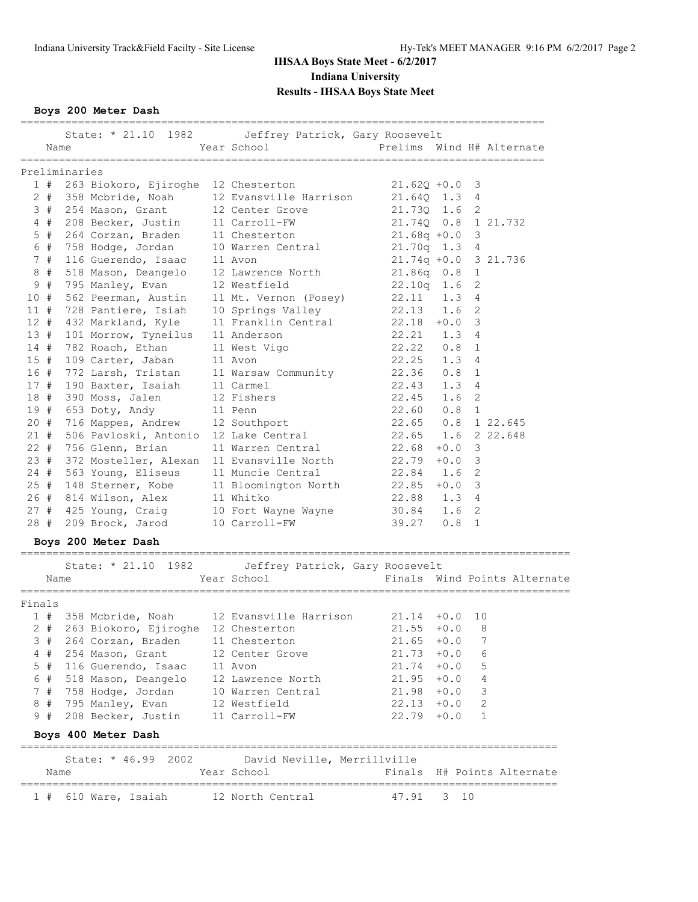**Boys 200 Meter Dash**

|        |        |               |                                                                          | State: * 21.10 1982   Jeffrey Patrick, Gary Roosevelt                                                                                                     |                                  |        |                |                |                              |
|--------|--------|---------------|--------------------------------------------------------------------------|-----------------------------------------------------------------------------------------------------------------------------------------------------------|----------------------------------|--------|----------------|----------------|------------------------------|
|        | Name   |               |                                                                          | Year School                                                                                                                                               | Prelims Wind H# Alternate        |        |                |                |                              |
|        |        |               |                                                                          |                                                                                                                                                           |                                  |        |                |                |                              |
|        |        | Preliminaries |                                                                          |                                                                                                                                                           |                                  |        |                |                |                              |
|        |        |               |                                                                          | 1 # 263 Biokoro, Ejiroghe 12 Chesterton                                                                                                                   | $21.62Q +0.0$ 3                  |        |                |                |                              |
|        |        |               |                                                                          | 2 # 358 Mcbride, Noah 12 Evansville Harrison 21.64Q 1.3 4<br>3 # 254 Mason, Grant 12 Center Grove 21.73Q 1.6 2                                            |                                  |        |                |                |                              |
|        |        |               |                                                                          |                                                                                                                                                           |                                  |        |                |                |                              |
|        | 4#     |               | 208 Becker, Justin                                                       | 11 Carroll-FW 21.740 0.8 1 21.732                                                                                                                         |                                  |        |                |                |                              |
|        | $5$ #  |               | 264 Corzan, Braden                                                       | 11 Chesterton 21.68q +0.0 3                                                                                                                               |                                  |        |                |                |                              |
|        | 6 #    |               | 758 Hodge, Jordan                                                        | 10 Warren Central 21.70q 1.3 4                                                                                                                            |                                  |        |                |                |                              |
|        | 7#     |               | 116 Guerendo, Isaac                                                      | 11 Avon                                                                                                                                                   | 21.74q +0.0 3 21.736             |        |                |                |                              |
|        | 8#     |               | 518 Mason, Deangelo<br>795 Manley, Evan                                  | 12 Lawrence North                                                                                                                                         | 21.86q  0.8  1<br>22.10q  1.6  2 |        |                |                |                              |
|        | 9#     |               |                                                                          | 12 Westfield                                                                                                                                              |                                  |        |                |                |                              |
| 10#    |        |               | 562 Peerman, Austin                                                      | 11 Mt. Vernon (Posey) $22.11$ 1.3                                                                                                                         |                                  |        | 4              |                |                              |
| 11#    |        |               | 728 Pantiere, Isiah                                                      | 10 Springs Valley 22.13 1.6                                                                                                                               |                                  |        | 2              |                |                              |
| 12#    |        |               | 432 Markland, Kyle                                                       | 11 Franklin Central 22.18 +0.0                                                                                                                            |                                  |        | 3              |                |                              |
|        |        |               | 13 # 101 Morrow, Tyneilus                                                | 11 Anderson                                                                                                                                               | $22.21$ 1.3                      |        | $\sim$ 4       |                |                              |
| 14#    |        |               | 782 Roach, Ethan                                                         | 11 West Vigo                                                                                                                                              | 22.22 0.8<br>22.25 1.3           |        | 1              |                |                              |
| 15#    |        |               | 109 Carter, Jaban                                                        | 11 Avon                                                                                                                                                   |                                  |        | $\overline{4}$ |                |                              |
| 16 #   |        |               | 772 Larsh, Tristan                                                       | 11 Warsaw Community 22.36 0.8                                                                                                                             |                                  |        | 1              |                |                              |
| 17#    |        |               | 190 Baxter, Isaiah                                                       | 11 Carmel                                                                                                                                                 | 22.43 1.3                        |        | 4              |                |                              |
|        | 18 #   |               | 390 Moss, Jalen                                                          | 12 Fishers                                                                                                                                                | 22.45 1.6                        |        | 2              |                |                              |
|        |        |               | 19 # 653 Doty, Andy 11 Penn                                              |                                                                                                                                                           |                                  |        |                |                |                              |
|        | $20 +$ |               |                                                                          |                                                                                                                                                           |                                  |        |                |                |                              |
|        | 21#    |               | 716 Mappes, Andrew 12 Southport<br>506 Pavloski, Antonio 12 Lake Central |                                                                                                                                                           |                                  |        |                |                |                              |
| $22 +$ |        |               | 756 Glenn, Brian                                                         | 11 Warren Central 22.68                                                                                                                                   |                                  | $+0.0$ | 3              |                |                              |
|        | 23#    |               |                                                                          | 372 Mosteller, Alexan 11 Evansville North 22.79 +0.0                                                                                                      |                                  |        | 3              |                |                              |
|        |        |               | 24 # 563 Young, Eliseus                                                  | 11 Muncie Central 22.84 1.6                                                                                                                               |                                  |        | 2              |                |                              |
|        |        |               |                                                                          |                                                                                                                                                           |                                  |        |                |                |                              |
|        |        |               |                                                                          | 25 # 148 Sterner, Kobe 11 Bloomington North 22.85 +0.0 3                                                                                                  |                                  |        |                |                |                              |
|        |        |               |                                                                          |                                                                                                                                                           |                                  |        |                |                |                              |
|        |        |               |                                                                          | 26 # 814 Wilson, Alex 11 Whitko $22.88$ 1.3 4<br>27 # 425 Young, Craig 10 Fort Wayne Wayne 30.84 1.6 2<br>28 # 209 Brock, Jarod 10 Carroll-FW 39.27 0.8 1 |                                  |        |                |                |                              |
|        |        |               |                                                                          |                                                                                                                                                           |                                  |        |                |                |                              |
|        |        |               | Boys 200 Meter Dash                                                      |                                                                                                                                                           |                                  |        |                |                |                              |
|        |        |               |                                                                          | State: * 21.10 1982   Jeffrey Patrick, Gary Roosevelt                                                                                                     |                                  |        |                |                |                              |
|        |        | Name          |                                                                          | Year School                                                                                                                                               |                                  |        |                |                | Finals Wind Points Alternate |
|        |        |               |                                                                          |                                                                                                                                                           |                                  |        |                |                |                              |
| Finals |        |               |                                                                          |                                                                                                                                                           |                                  |        |                |                |                              |
|        |        |               |                                                                          | 1 # 358 Mcbride, Noah 12 Evansville Harrison 21.14 +0.0                                                                                                   |                                  |        | 10             |                |                              |
|        |        |               |                                                                          | 2 # 263 Biokoro, Ejiroghe 12 Chesterton                                                                                                                   | $21.55 + 0.0$ 8                  |        |                |                |                              |
|        | 3#     |               | 264 Corzan, Braden                                                       | 11 Chesterton                                                                                                                                             | $21.65 + 0.0$                    |        |                | 7              |                              |
|        | 4#     |               | 254 Mason, Grant                                                         | 12 Center Grove                                                                                                                                           | $21.73 + 0.0$                    |        | 6              |                |                              |
|        | 5 #    |               | 116 Guerendo, Isaac                                                      | 11 Avon                                                                                                                                                   | $21.74 + 0.0$ 5                  |        |                |                |                              |
|        | 6 #    |               | 518 Mason, Deangelo                                                      | 12 Lawrence North                                                                                                                                         | $21.95 + 0.0 4$                  |        |                |                |                              |
|        | 7#     |               | 758 Hodge, Jordan                                                        | 10 Warren Central                                                                                                                                         | $21.98 + 0.0$                    |        |                | 3              |                              |
|        | 8#     |               | 795 Manley, Evan                                                         | 12 Westfield                                                                                                                                              | $22.13 + 0.0$                    |        |                | $\overline{c}$ |                              |
|        | 9#     |               | 208 Becker, Justin                                                       | 11 Carroll-FW                                                                                                                                             | $22.79 + 0.0$                    |        |                | $\mathbf{1}$   |                              |
|        |        |               | Boys 400 Meter Dash                                                      |                                                                                                                                                           |                                  |        |                |                |                              |
|        |        |               |                                                                          |                                                                                                                                                           |                                  |        |                |                |                              |
|        |        |               | State: * 46.99 2002                                                      | David Neville, Merrillville                                                                                                                               |                                  |        |                |                |                              |
|        | Name   |               |                                                                          | Year School                                                                                                                                               |                                  |        |                |                | Finals H# Points Alternate   |
|        | 1#     |               | 610 Ware, Isaiah                                                         | 12 North Central                                                                                                                                          | 47.91                            | 3 10   |                |                |                              |
|        |        |               |                                                                          |                                                                                                                                                           |                                  |        |                |                |                              |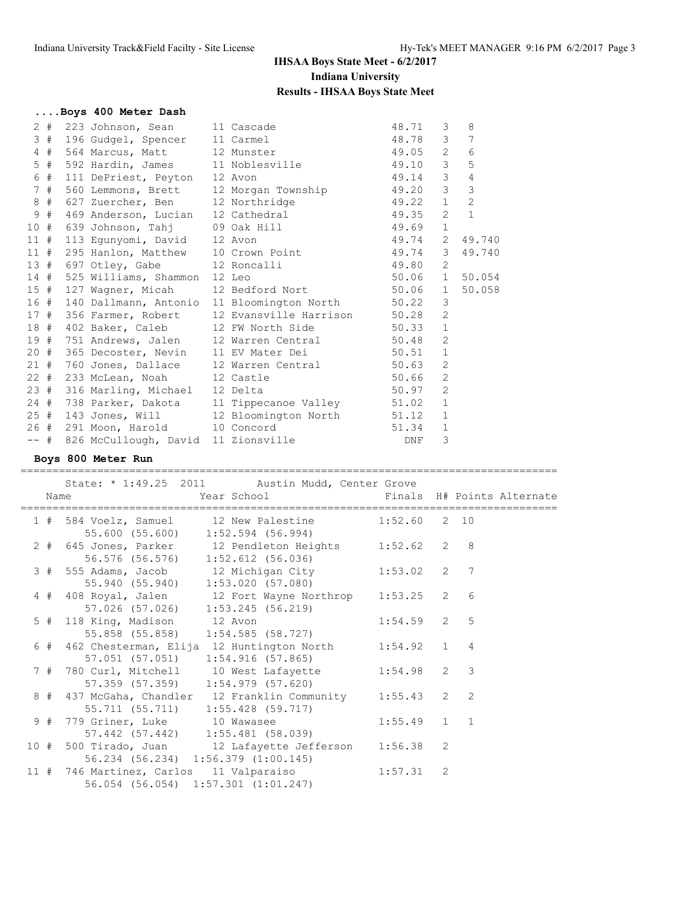|         |    | Boys 400 Meter Dash                 |                                                       |            |                |                |
|---------|----|-------------------------------------|-------------------------------------------------------|------------|----------------|----------------|
|         |    | 2 # 223 Johnson, Sean 11 Cascade    |                                                       | 48.71      | 3              | 8              |
|         |    | 3 # 196 Gudgel, Spencer 11 Carmel   |                                                       | 48.78      | 3 <sup>7</sup> | 7              |
|         |    | 4 # 564 Marcus, Matt 12 Munster     |                                                       | 49.05      | $\overline{2}$ | 6              |
|         |    |                                     | 5 # 592 Hardin, James 11 Noblesville 49.10            |            | 3 <sup>7</sup> | 5              |
|         |    | 6 # 111 DePriest, Peyton 12 Avon    |                                                       | 49.14      | 3 <sup>7</sup> | $\overline{4}$ |
|         |    |                                     | 7 # 560 Lemmons, Brett 12 Morgan Township 49.20       |            | $\mathcal{E}$  | 3              |
|         |    | 8 # 627 Zuercher, Ben 12 Northridge |                                                       | 49.22      | 1              | $\overline{2}$ |
|         | 9# |                                     | 469 Anderson, Lucian 12 Cathedral 49.35               |            | $\overline{2}$ | $\mathbf{1}$   |
|         |    |                                     | 10 # 639 Johnson, Tahj 09 Oak Hill 49.69              |            | $\mathbf{1}$   |                |
|         |    | 11 # 113 Equnyomi, David 12 Avon    |                                                       | 49.74      | 2              | 49.740         |
|         |    |                                     | 11 # 295 Hanlon, Matthew 10 Crown Point 49.74         |            | 3              | 49.740         |
|         |    | 13 # 697 Otley, Gabe 12 Roncalli    |                                                       | 49.80      | 2              |                |
|         |    | 14 # 525 Williams, Shammon 12 Leo   |                                                       | 50.06      |                | 1 50.054       |
|         |    |                                     | 15 # 127 Wagner, Micah 12 Bedford Nort 50.06          |            | $\mathbf{1}$   | 50.058         |
|         |    |                                     | 16 # 140 Dallmann, Antonio 11 Bloomington North 50.22 |            | 3              |                |
|         |    |                                     | 17 # 356 Farmer, Robert 12 Evansville Harrison 50.28  |            | $\overline{c}$ |                |
|         |    |                                     | 18 # 402 Baker, Caleb 12 FW North Side 50.33          |            | $\mathbf{1}$   |                |
|         |    |                                     | 19 # 751 Andrews, Jalen 12 Warren Central 50.48       |            | 2              |                |
|         |    |                                     | 20 # 365 Decoster, Nevin 11 EV Mater Dei 50.51        |            | $\mathbf{1}$   |                |
|         |    |                                     | 21 # 760 Jones, Dallace 12 Warren Central 50.63       |            | $\overline{2}$ |                |
|         |    | 22 # 233 McLean, Noah 12 Castle     |                                                       | 50.66      | $\overline{2}$ |                |
|         |    | 23 # 316 Marling, Michael 12 Delta  |                                                       | 50.97      | $\overline{2}$ |                |
|         |    |                                     | 24 # 738 Parker, Dakota 11 Tippecanoe Valley 51.02    |            | $\mathbf{1}$   |                |
|         |    |                                     | 25 # 143 Jones, Will 12 Bloomington North 51.12       |            | $\mathbf{1}$   |                |
|         |    | 26 # 291 Moon, Harold 10 Concord    |                                                       | 51.34      | $\mathbf{1}$   |                |
| $---$ # |    |                                     | 826 McCullough, David 11 Zionsville                   | <b>DNF</b> | 3              |                |

## **Boys 800 Meter Run**

==================================================================================== State: \* 1:49.25 2011 Austin Mudd, Center Grove

| Name |                                     | Year School in the Senals H# Points Alternate                                                  |               |  |  |
|------|-------------------------------------|------------------------------------------------------------------------------------------------|---------------|--|--|
|      |                                     | 1 # 584 Voelz, Samuel 12 New Palestine 1:52.60 2 10<br>55.600 (55.600) 1:52.594 (56.994)       |               |  |  |
|      |                                     | 2 # 645 Jones, Parker 12 Pendleton Heights 1:52.62 2 8<br>56.576 (56.576) 1:52.612 (56.036)    |               |  |  |
|      |                                     | 3 # 555 Adams, Jacob 12 Michigan City 1:53.02 2 7<br>55.940 (55.940) 1:53.020 (57.080)         |               |  |  |
|      | 57.026 (57.026) 1:53.245 (56.219)   | 4 # 408 Royal, Jalen 12 Fort Wayne Northrop 1:53.25 2 6                                        |               |  |  |
|      | 5 # 118 King, Madison 12 Avon       | 55.858 (55.858) 1:54.585 (58.727)                                                              | $1:54.59$ 2 5 |  |  |
|      |                                     | 6 # 462 Chesterman, Elija 12 Huntington North 1:54.92 1 4<br>57.051 (57.051) 1:54.916 (57.865) |               |  |  |
|      |                                     | 7 # 780 Curl, Mitchell 10 West Lafayette 1:54.98 2 3                                           |               |  |  |
|      |                                     | 8 # 437 McGaha, Chandler 12 Franklin Community 1:55.43 2 2                                     |               |  |  |
|      |                                     | 9 # 779 Griner, Luke 10 Wawasee<br>57.442 (57.442) 1:55.481 (58.039)                           | $1:55.49$ 1 1 |  |  |
|      | 56.234 (56.234) 1:56.379 (1:00.145) | 10 # 500 Tirado, Juan 12 Lafayette Jefferson 1:56.38 2                                         |               |  |  |
|      |                                     | 11 # 746 Martinez, Carlos 11 Valparaiso 1:57.31 2<br>56.054 (56.054) 1:57.301 (1:01.247)       |               |  |  |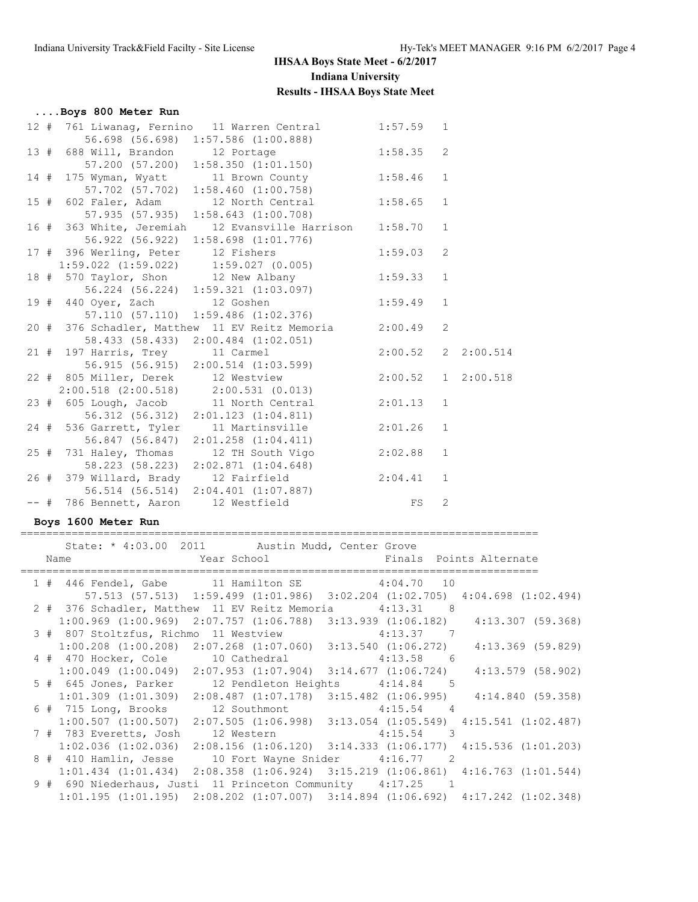| Boys 800 Meter Run                   |                                                                                          |                    |              |            |
|--------------------------------------|------------------------------------------------------------------------------------------|--------------------|--------------|------------|
|                                      | 12 # 761 Liwanag, Fernino 11 Warren Central 1:57.59 1                                    |                    |              |            |
|                                      | 56.698 (56.698) 1:57.586 (1:00.888)                                                      |                    |              |            |
|                                      | 13 # 688 Will, Brandon 12 Portage                                                        | $1:58.35$ 2        |              |            |
|                                      | 57.200 (57.200) 1:58.350 (1:01.150)                                                      |                    |              |            |
|                                      | 14 # 175 Wyman, Wyatt 11 Brown County 1:58.46 1                                          |                    |              |            |
|                                      | $57.702$ $(57.702)$ $1:58.460$ $(1:00.758)$                                              |                    |              |            |
|                                      | 15 # 602 Faler, Adam $\frac{12 \text{ North Central}}{12 \text{ North Central}}$ 1:58.65 |                    | $\mathbf{1}$ |            |
|                                      | 57.935 (57.935) 1:58.643 (1:00.708)                                                      |                    |              |            |
|                                      | 16 # 363 White, Jeremiah 12 Evansville Harrison 1:58.70                                  |                    | $\mathbf{1}$ |            |
|                                      | 56.922 (56.922) 1:58.698 (1:01.776)                                                      |                    |              |            |
| 17 # 396 Werling, Peter 12 Fishers   | 1:59.03                                                                                  |                    | 2            |            |
|                                      | $1:59.022$ $(1:59.022)$ $1:59.027$ $(0.005)$                                             |                    |              |            |
|                                      | 18 # 570 Taylor, Shon 12 New Albany 1:59.33 1                                            |                    |              |            |
|                                      | 56.224 (56.224) 1:59.321 (1:03.097)                                                      |                    |              |            |
|                                      | 19 # 440 Oyer, Zach 12 Goshen                                                            | 1:59.49            | $\mathbf{1}$ |            |
|                                      | 57.110 (57.110) 1:59.486 (1:02.376)                                                      |                    |              |            |
|                                      | 20 # 376 Schadler, Matthew 11 EV Reitz Memoria 2:00.49                                   |                    | 2            |            |
|                                      | 58.433 (58.433) 2:00.484 (1:02.051)                                                      |                    |              |            |
|                                      | 21 # 197 Harris, Trey 11 Carmel<br>56.915 (56.915) 2:00.514 (1:03.599)                   | 2:00.52            |              | 2 2:00.514 |
|                                      |                                                                                          |                    |              |            |
|                                      | 22 # 805 Miller, Derek 12 Westview                                                       | 2:00.52 1 2:00.518 |              |            |
|                                      | 2:00.518 (2:00.518) 2:00.531 (0.013)<br>23 # 605 Lough, Jacob 11 North Central 2:01.13 1 |                    |              |            |
|                                      |                                                                                          |                    |              |            |
|                                      | 56.312 (56.312) 2:01.123 (1:04.811)                                                      |                    |              |            |
|                                      | 24 # 536 Garrett, Tyler 11 Martinsville 2:01.26 1                                        |                    |              |            |
|                                      | 56.847 (56.847) 2:01.258 (1:04.411)                                                      |                    |              |            |
|                                      | 25 # 731 Haley, Thomas 12 TH South Vigo                                                  | 2:02.88            | 1            |            |
|                                      | 58.223 (58.223) 2:02.871 (1:04.648)<br>26 # 379 Willard, Brady 12 Fairfield 2:04.41      |                    |              |            |
|                                      |                                                                                          |                    | $\mathbf{1}$ |            |
|                                      | 56.514 (56.514) 2:04.401 (1:07.887)<br>Bennett, Aaron 12 Westfield FS                    |                    |              |            |
| -- # 786 Bennett, Aaron 12 Westfield |                                                                                          |                    | 2            |            |

### **Boys 1600 Meter Run**

=================================================================================

|  | State: * 4:03.00 2011 Austin Mudd, Center Grove |                                                                                                 |  |
|--|-------------------------------------------------|-------------------------------------------------------------------------------------------------|--|
|  |                                                 | Name The Year School Team and Finals Points Alternate                                           |  |
|  |                                                 |                                                                                                 |  |
|  |                                                 | 1 # 446 Fendel, Gabe 11 Hamilton SE 4:04.70 10                                                  |  |
|  |                                                 | 57.513 (57.513) 1:59.499 (1:01.986) 3:02.204 (1:02.705) 4:04.698 (1:02.494)                     |  |
|  |                                                 | 2 # 376 Schadler, Matthew 11 EV Reitz Memoria 4:13.31 8                                         |  |
|  |                                                 | $1:00.969$ (1:00.969) $2:07.757$ (1:06.788) $3:13.939$ (1:06.182) $4:13.307$ (59.368)           |  |
|  |                                                 | 3 # 807 Stoltzfus, Richmo 11 Westview 4:13.37 7                                                 |  |
|  |                                                 | $1:00.208$ (1:00.208) $2:07.268$ (1:07.060) $3:13.540$ (1:06.272) $4:13.369$ (59.829)           |  |
|  |                                                 | 4 # 470 Hocker, Cole 10 Cathedral 4:13.58 6                                                     |  |
|  |                                                 | $1:00.049$ $(1:00.049)$ $2:07.953$ $(1:07.904)$ $3:14.677$ $(1:06.724)$ $4:13.579$ $(58.902)$   |  |
|  |                                                 | 5 # 645 Jones, Parker 12 Pendleton Heights 4:14.84 5                                            |  |
|  |                                                 | $1:01.309$ $(1:01.309)$ $2:08.487$ $(1:07.178)$ $3:15.482$ $(1:06.995)$ $4:14.840$ $(59.358)$   |  |
|  |                                                 | 6 # 715 Long, Brooks 12 Southmont 4:15.54 4                                                     |  |
|  |                                                 | $1:00.507$ (1:00.507) $2:07.505$ (1:06.998) $3:13.054$ (1:05.549) $4:15.541$ (1:02.487)         |  |
|  |                                                 | 7 # 783 Everetts, Josh 12 Western 4:15.54 3                                                     |  |
|  |                                                 | $1:02.036$ (1:02.036) 2:08.156 (1:06.120) 3:14.333 (1:06.177) 4:15.536 (1:01.203)               |  |
|  |                                                 | 8 # 410 Hamlin, Jesse 10 Fort Wayne Snider 4:16.77 2                                            |  |
|  |                                                 | 1:01.434 (1:01.434) 2:08.358 (1:06.924) 3:15.219 (1:06.861) 4:16.763 (1:01.544)                 |  |
|  |                                                 | 9 # 690 Niederhaus, Justi 11 Princeton Community 4:17.25 1                                      |  |
|  |                                                 | $1:01.195$ $(1:01.195)$ $2:08.202$ $(1:07.007)$ $3:14.894$ $(1:06.692)$ $4:17.242$ $(1:02.348)$ |  |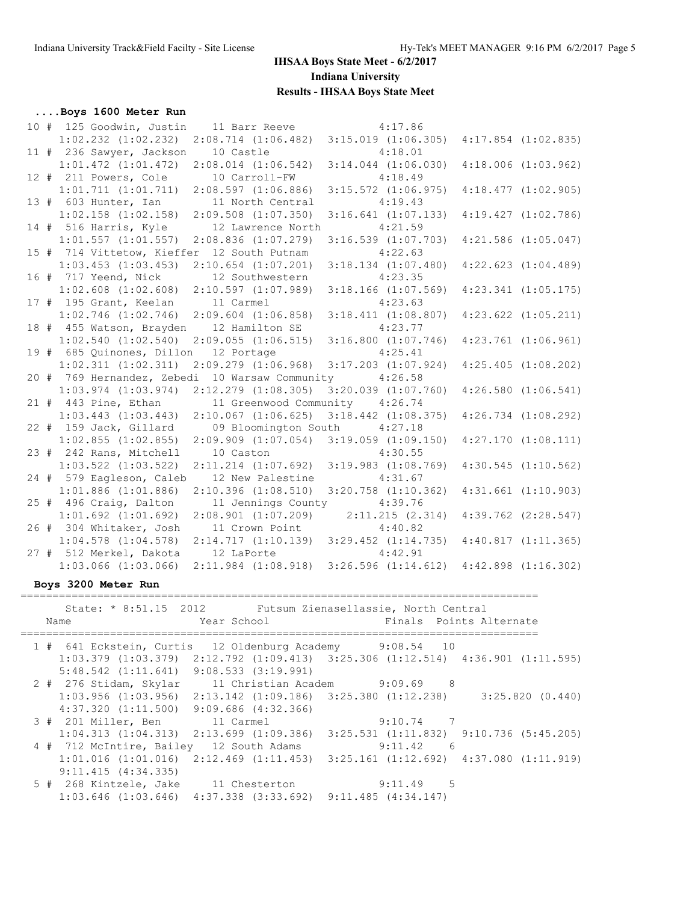### **....Boys 1600 Meter Run**

|  |                                                 | 10 # 125 Goodwin, Justin 11 Barr Reeve 4:17.86  |                                                                         |                         |
|--|-------------------------------------------------|-------------------------------------------------|-------------------------------------------------------------------------|-------------------------|
|  |                                                 | $1:02.232$ $(1:02.232)$ $2:08.714$ $(1:06.482)$ | $3:15.019$ $(1:06.305)$                                                 | $4:17.854$ $(1:02.835)$ |
|  | 11 # 236 Sawyer, Jackson                        | 10 Castle                                       | 4:18.01                                                                 |                         |
|  | $1:01.472$ $(1:01.472)$                         | $2:08.014$ $(1:06.542)$                         | $3:14.044$ $(1:06.030)$                                                 | $4:18.006$ $(1:03.962)$ |
|  | 12 # 211 Powers, Cole                           | 10 Carroll-FW                                   | 4:18.49                                                                 |                         |
|  | $1:01.711$ $(1:01.711)$                         | $2:08.597$ $(1:06.886)$                         | $3:15.572$ $(1:06.975)$                                                 | $4:18.477$ $(1:02.905)$ |
|  | 13 # 603 Hunter, Ian                            | 11 North Central                                | 4:19.43                                                                 |                         |
|  | $1:02.158$ $(1:02.158)$                         | $2:09.508$ $(1:07.350)$                         | $3:16.641$ $(1:07.133)$                                                 | 4:19.427(1:02.786)      |
|  | 14 # 516 Harris, Kyle                           | 12 Lawrence North                               | 4:21.59                                                                 |                         |
|  | $1:01.557$ $(1:01.557)$                         | $2:08.836$ $(1:07.279)$                         | $3:16.539$ $(1:07.703)$                                                 | $4:21.586$ $(1:05.047)$ |
|  | 15 # 714 Vittetow, Kieffer 12 South Putnam      |                                                 | 4:22.63                                                                 |                         |
|  | $1:03.453$ $(1:03.453)$                         | $2:10.654$ $(1:07.201)$                         | $3:18.134$ $(1:07.480)$                                                 | $4:22.623$ $(1:04.489)$ |
|  | 16 # 717 Yeend, Nick                            | 12 Southwestern                                 | 4:23.35                                                                 |                         |
|  | $1:02.608$ $(1:02.608)$                         | 2:10.597(1:07.989)                              | $3:18.166$ $(1:07.569)$                                                 | $4:23.341$ $(1:05.175)$ |
|  | 17 # 195 Grant, Keelan 11 Carmel                |                                                 | 4:23.63                                                                 |                         |
|  | $1:02.746$ $(1:02.746)$ $2:09.604$ $(1:06.858)$ |                                                 | $3:18.411$ $(1:08.807)$                                                 | $4:23.622$ $(1:05.211)$ |
|  | 18 # 455 Watson, Brayden 12 Hamilton SE         |                                                 | 4:23.77                                                                 |                         |
|  | 1:02.540(1:02.540)                              | 2:09.055(1:06.515)                              | $3:16.800$ $(1:07.746)$                                                 | $4:23.761$ $(1:06.961)$ |
|  | 19 # 685 Quinones, Dillon                       | 12 Portage                                      | 4:25.41                                                                 |                         |
|  | $1:02.311$ $(1:02.311)$                         | $2:09.279$ $(1:06.968)$                         | $3:17.203$ $(1:07.924)$                                                 | $4:25.405$ $(1:08.202)$ |
|  |                                                 | 20 # 769 Hernandez, Zebedi 10 Warsaw Community  | 4:26.58                                                                 |                         |
|  | $1:03.974$ $(1:03.974)$                         | $2:12.279$ $(1:08.305)$                         | $3:20.039$ $(1:07.760)$                                                 | $4:26.580$ $(1:06.541)$ |
|  | 21 # 443 Pine, Ethan                            | 11 Greenwood Community 4:26.74                  |                                                                         |                         |
|  | $1:03.443$ $(1:03.443)$                         | $2:10.067$ $(1:06.625)$                         | $3:18.442$ $(1:08.375)$                                                 | $4:26.734$ $(1:08.292)$ |
|  | 22 # 159 Jack, Gillard                          | 09 Bloomington South                            | 4:27.18                                                                 |                         |
|  | $1:02.855$ $(1:02.855)$                         | $2:09.909$ $(1:07.054)$                         | $3:19.059$ $(1:09.150)$                                                 | $4:27.170$ $(1:08.111)$ |
|  | 23 # 242 Rans, Mitchell                         | 10 Caston                                       | 4:30.55                                                                 |                         |
|  | $1:03.522$ $(1:03.522)$                         | $2:11.214$ $(1:07.692)$                         | $3:19.983$ $(1:08.769)$                                                 | $4:30.545$ $(1:10.562)$ |
|  | 24 # 579 Eagleson, Caleb                        | 12 New Palestine                                | 4:31.67                                                                 |                         |
|  | $1:01.886$ $(1:01.886)$                         | $2:10.396$ $(1:08.510)$                         | $3:20.758$ $(1:10.362)$                                                 | $4:31.661$ $(1:10.903)$ |
|  | 25 # 496 Craig, Dalton                          | 11 Jennings County 4:39.76                      |                                                                         |                         |
|  | $1:01.692$ $(1:01.692)$                         | $2:08.901$ (1:07.209) $2:11.215$ (2.314)        |                                                                         | $4:39.762$ $(2:28.547)$ |
|  | 26 # 304 Whitaker, Josh                         | 11 Crown Point                                  | 4:40.82                                                                 |                         |
|  | $1:04.578$ $(1:04.578)$                         | $2:14.717$ $(1:10.139)$ $3:29.452$ $(1:14.735)$ |                                                                         | 4:40.817(1:11.365)      |
|  | 27 # 512 Merkel, Dakota                         | 12 LaPorte                                      | 4:42.91                                                                 |                         |
|  | $1:03.066$ $(1:03.066)$                         |                                                 | $2:11.984$ $(1:08.918)$ $3:26.596$ $(1:14.612)$ $4:42.898$ $(1:16.302)$ |                         |
|  |                                                 |                                                 |                                                                         |                         |

#### **Boys 3200 Meter Run**

================================================================================= State: \* 8:51.15 2012 Futsum Zienasellassie, North Central Name The Year School The Finals Points Alternate ================================================================================= 1 # 641 Eckstein, Curtis 12 Oldenburg Academy 9:08.54 10 1:03.379 (1:03.379) 2:12.792 (1:09.413) 3:25.306 (1:12.514) 4:36.901 (1:11.595) 5:48.542 (1:11.641) 9:08.533 (3:19.991) 2 # 276 Stidam, Skylar 11 Christian Academ 9:09.69 8 1:03.956 (1:03.956) 2:13.142 (1:09.186) 3:25.380 (1:12.238) 3:25.820 (0.440) 4:37.320 (1:11.500) 9:09.686 (4:32.366) 3 # 201 Miller, Ben 11 Carmel 9:10.74 7 1:04.313 (1:04.313) 2:13.699 (1:09.386) 3:25.531 (1:11.832) 9:10.736 (5:45.205) 4 # 712 McIntire, Bailey 12 South Adams 9:11.42 6 1:01.016 (1:01.016) 2:12.469 (1:11.453) 3:25.161 (1:12.692) 4:37.080 (1:11.919) 9:11.415 (4:34.335) 5 # 268 Kintzele, Jake 11 Chesterton 9:11.49 5 1:03.646 (1:03.646) 4:37.338 (3:33.692) 9:11.485 (4:34.147)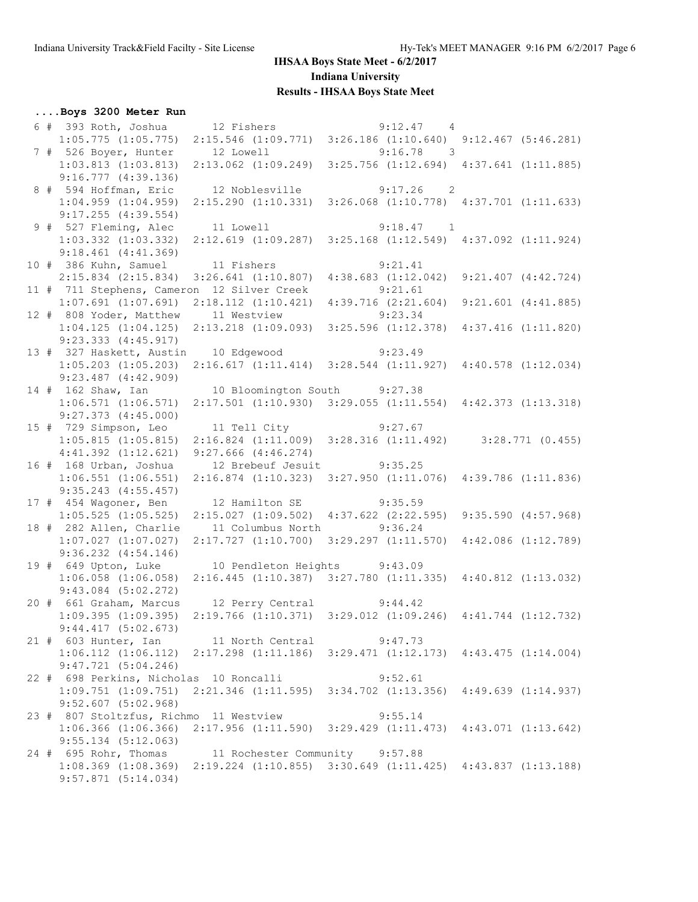## **....Boys 3200 Meter Run**

|  | 6 # 393 Roth, Joshua 12 Fishers                                                                 |             |                                                 |         | $9:12.47$ 4                                                             |                         |
|--|-------------------------------------------------------------------------------------------------|-------------|-------------------------------------------------|---------|-------------------------------------------------------------------------|-------------------------|
|  | 1:05.775 (1:05.775) 2:15.546 (1:09.771) 3:26.186 (1:10.640) 9:12.467 (5:46.281)                 |             |                                                 |         |                                                                         |                         |
|  | 7 # 526 Boyer, Hunter 12 Lowell 9:16.78 3                                                       |             |                                                 |         |                                                                         |                         |
|  | $1:03.813$ $(1:03.813)$                                                                         |             | $2:13.062$ $(1:09.249)$                         |         | $3:25.756$ $(1:12.694)$ $4:37.641$ $(1:11.885)$                         |                         |
|  | $9:16.777$ $(4:39.136)$                                                                         |             |                                                 |         |                                                                         |                         |
|  | 8 # 594 Hoffman, Eric                                                                           |             |                                                 |         | 12 Noblesville 9:17.26 2                                                |                         |
|  | $1:04.959$ $(1:04.959)$                                                                         |             |                                                 |         | $2:15.290$ (1:10.331) 3:26.068 (1:10.778) 4:37.701 (1:11.633)           |                         |
|  | $9:17.255$ $(4:39.554)$                                                                         |             |                                                 |         |                                                                         |                         |
|  | 9 # 527 Fleming, Alec                                                                           |             | 11 Lowell                                       |         | $9:18.47$ 1                                                             |                         |
|  | $1:03.332$ $(1:03.332)$                                                                         |             |                                                 |         | 2:12.619 (1:09.287) 3:25.168 (1:12.549) 4:37.092 (1:11.924)             |                         |
|  | $9:18.461$ $(4:41.369)$                                                                         |             |                                                 |         |                                                                         |                         |
|  | 10 # 386 Kuhn, Samuel 11 Fishers                                                                |             |                                                 |         | 9:21.41                                                                 |                         |
|  | $2:15.834$ $(2:15.834)$                                                                         |             | $3:26.641$ $(1:10.807)$                         |         | $4:38.683$ $(1:12.042)$                                                 | $9:21.407$ $(4:42.724)$ |
|  | 11 # 711 Stephens, Cameron 12 Silver Creek                                                      |             |                                                 | 9:21.61 |                                                                         |                         |
|  | $1:07.691$ $(1:07.691)$                                                                         |             | $2:18.112$ $(1:10.421)$                         |         | $4:39.716$ $(2:21.604)$                                                 | $9:21.601$ $(4:41.885)$ |
|  | 12 # 808 Yoder, Matthew                                                                         | 11 Westview |                                                 | 9:23.34 |                                                                         |                         |
|  | $1:04.125$ $(1:04.125)$                                                                         |             | $2:13.218$ $(1:09.093)$                         |         | $3:25.596$ $(1:12.378)$                                                 | 4:37.416(1:11.820)      |
|  | $9:23.333$ $(4:45.917)$                                                                         |             |                                                 |         |                                                                         |                         |
|  | 13 # 327 Haskett, Austin 10 Edgewood 9:23.49                                                    |             |                                                 |         |                                                                         |                         |
|  | $1:05.203$ $(1:05.203)$                                                                         |             |                                                 |         | $2:16.617$ $(1:11.414)$ $3:28.544$ $(1:11.927)$ $4:40.578$ $(1:12.034)$ |                         |
|  | $9:23.487$ $(4:42.909)$                                                                         |             |                                                 |         |                                                                         |                         |
|  | 14 # 162 Shaw, Ian                                                                              |             | 10 Bloomington South 9:27.38                    |         |                                                                         |                         |
|  | $1:06.571$ $(1:06.571)$                                                                         |             |                                                 |         | $2:17.501$ (1:10.930) 3:29.055 (1:11.554) 4:42.373 (1:13.318)           |                         |
|  | $9:27.373$ $(4:45.000)$                                                                         |             |                                                 |         |                                                                         |                         |
|  | 15 # 729 Simpson, Leo                                                                           |             | 11 Tell City 9:27.67                            |         |                                                                         |                         |
|  | $1:05.815$ $(1:05.815)$                                                                         |             |                                                 |         | $2:16.824$ (1:11.009) $3:28.316$ (1:11.492) $3:28.771$ (0.455)          |                         |
|  | $4:41.392$ $(1:12.621)$                                                                         |             | $9:27.666$ $(4:46.274)$                         |         |                                                                         |                         |
|  | 16 # 168 Urban, Joshua                                                                          |             | 12 Brebeuf Jesuit 9:35.25                       |         |                                                                         |                         |
|  | $1:06.551$ $(1:06.551)$                                                                         |             |                                                 |         | $2:16.874$ (1:10.323) 3:27.950 (1:11.076) 4:39.786 (1:11.836)           |                         |
|  | $9:35.243$ $(4:55.457)$                                                                         |             |                                                 |         |                                                                         |                         |
|  | 17 # 454 Wagoner, Ben                                                                           |             | 12 Hamilton SE 9:35.59                          |         |                                                                         |                         |
|  | $1:05.525$ $(1:05.525)$                                                                         |             | $2:15.027$ $(1:09.502)$ $4:37.622$ $(2:22.595)$ |         |                                                                         | 9:35.590(4:57.968)      |
|  | 18 # 282 Allen, Charlie                                                                         |             | 11 Columbus North 9:36.24                       |         |                                                                         |                         |
|  | $1:07.027$ $(1:07.027)$                                                                         |             |                                                 |         | 2:17.727 (1:10.700) 3:29.297 (1:11.570) 4:42.086 (1:12.789)             |                         |
|  | $9:36.232$ $(4:54.146)$                                                                         |             |                                                 |         |                                                                         |                         |
|  | 19 # 649 Upton, Luke                                                                            |             | 10 Pendleton Heights 9:43.09                    |         |                                                                         |                         |
|  | $1:06.058$ $(1:06.058)$                                                                         |             |                                                 |         | $2:16.445$ (1:10.387) 3:27.780 (1:11.335) 4:40.812 (1:13.032)           |                         |
|  | $9:43.084$ $(5:02.272)$<br>20 # 661 Graham, Marcus                                              |             | 12 Perry Central 9:44.42                        |         |                                                                         |                         |
|  | $1:09.395$ $(1:09.395)$                                                                         |             |                                                 |         | $2:19.766$ (1:10.371) 3:29.012 (1:09.246) 4:41.744 (1:12.732)           |                         |
|  | 9:44.417(5:02.673)                                                                              |             |                                                 |         |                                                                         |                         |
|  | 21 # 603 Hunter, Ian                                                                            |             | 11 North Central                                |         | 9:47.73                                                                 |                         |
|  | $1:06.112$ $(1:06.112)$ $2:17.298$ $(1:11.186)$ $3:29.471$ $(1:12.173)$ $4:43.475$ $(1:14.004)$ |             |                                                 |         |                                                                         |                         |
|  | $9:47.721$ $(5:04.246)$                                                                         |             |                                                 |         |                                                                         |                         |
|  | 22 # 698 Perkins, Nicholas 10 Roncalli                                                          |             |                                                 |         | 9:52.61                                                                 |                         |
|  | 1:09.751 (1:09.751) 2:21.346 (1:11.595) 3:34.702 (1:13.356) 4:49.639 (1:14.937)                 |             |                                                 |         |                                                                         |                         |
|  | $9:52.607$ (5:02.968)                                                                           |             |                                                 |         |                                                                         |                         |
|  | 23 # 807 Stoltzfus, Richmo 11 Westview                                                          |             |                                                 |         | 9:55.14                                                                 |                         |
|  | $1:06.366$ $(1:06.366)$ $2:17.956$ $(1:11.590)$ $3:29.429$ $(1:11.473)$ $4:43.071$ $(1:13.642)$ |             |                                                 |         |                                                                         |                         |
|  | $9:55.134$ $(5:12.063)$                                                                         |             |                                                 |         |                                                                         |                         |
|  | 24 # 695 Rohr, Thomas 11 Rochester Community 9:57.88                                            |             |                                                 |         |                                                                         |                         |
|  | $1:08.369$ $(1:08.369)$ $2:19.224$ $(1:10.855)$ $3:30.649$ $(1:11.425)$ $4:43.837$ $(1:13.188)$ |             |                                                 |         |                                                                         |                         |
|  | $9:57.871$ $(5:14.034)$                                                                         |             |                                                 |         |                                                                         |                         |
|  |                                                                                                 |             |                                                 |         |                                                                         |                         |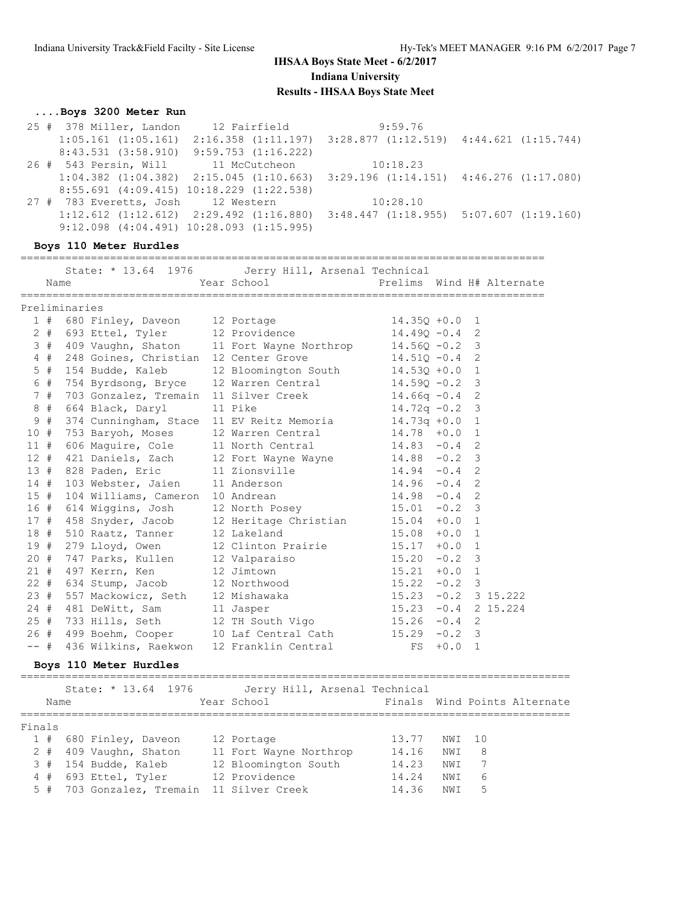## **....Boys 3200 Meter Run**

| 25 # 378 Miller, Landon            | 12 Fairfield                                                                                    | 9:59.76                                                                 |  |
|------------------------------------|-------------------------------------------------------------------------------------------------|-------------------------------------------------------------------------|--|
| $1:05.161$ $(1:05.161)$            |                                                                                                 | $2:16.358$ $(1:11.197)$ $3:28.877$ $(1:12.519)$ $4:44.621$ $(1:15.744)$ |  |
| $8:43.531$ $(3:58.910)$            | $9:59.753$ $(1:16.222)$                                                                         |                                                                         |  |
|                                    | 26 # 543 Persin, Will 11 McCutcheon                                                             | 10:18.23                                                                |  |
|                                    | $1:04.382$ $(1:04.382)$ $2:15.045$ $(1:10.663)$ $3:29.196$ $(1:14.151)$ $4:46.276$ $(1:17.080)$ |                                                                         |  |
|                                    | $8:55.691$ (4:09.415) 10:18.229 (1:22.538)                                                      |                                                                         |  |
| 27 # 783 Everetts, Josh 12 Western |                                                                                                 | 10:28.10                                                                |  |
|                                    | $1:12.612$ $(1:12.612)$ $2:29.492$ $(1:16.880)$ $3:48.447$ $(1:18.955)$ $5:07.607$ $(1:19.160)$ |                                                                         |  |
|                                    | $9:12.098$ $(4:04.491)$ $10:28.093$ $(1:15.995)$                                                |                                                                         |  |

#### **Boys 110 Meter Hurdles**

|        |               |                          | State: * 13.64 1976 Jerry Hill, Arsenal Technical<br>Year School The Prelims Wind H# Alternate                                                                                   |                       |        |                |  |
|--------|---------------|--------------------------|----------------------------------------------------------------------------------------------------------------------------------------------------------------------------------|-----------------------|--------|----------------|--|
| Name   |               |                          |                                                                                                                                                                                  |                       |        |                |  |
|        | Preliminaries |                          |                                                                                                                                                                                  |                       |        |                |  |
|        |               |                          | 1 # 680 Finley, Daveon 12 Portage 14.350 +0.0 1                                                                                                                                  |                       |        |                |  |
|        |               |                          | 2 # 693 Ettel, Tyler 12 Providence                                                                                                                                               | $14.49Q - 0.4$ 2      |        |                |  |
|        |               |                          | 3 # 409 Vaughn, Shaton 11 Fort Wayne Northrop 14.560 -0.2 3                                                                                                                      |                       |        |                |  |
|        |               |                          | 4 # 248 Goines, Christian 12 Center Grove 14.510 -0.4 2                                                                                                                          |                       |        |                |  |
|        |               |                          | 5 # 154 Budde, Kaleb 12 Bloomington South 14.530 +0.0 1                                                                                                                          |                       |        |                |  |
| 6 #    |               |                          | 754 Byrdsong, Bryce 12 Warren Central 14.590 -0.2 3                                                                                                                              |                       |        |                |  |
| 7#     |               |                          | 703 Gonzalez, Tremain 11 Silver Creek 14.66q -0.4 2<br>664 Black, Daryl 11 Pike 14.72q -0.2 3                                                                                    |                       |        |                |  |
| 8#     |               | 664 Black, Daryl 11 Pike |                                                                                                                                                                                  |                       |        |                |  |
|        |               |                          | 9 # 374 Cunningham, Stace 11 EV Reitz Memoria 14.73q +0.0 1                                                                                                                      |                       |        |                |  |
|        |               |                          | 10 # 753 Baryoh, Moses 12 Warren Central 14.78 +0.0 1<br>11 # 606 Maguire, Cole 11 North Central 14.83 -0.4 2                                                                    |                       |        |                |  |
|        |               |                          |                                                                                                                                                                                  |                       |        |                |  |
|        |               |                          |                                                                                                                                                                                  |                       |        |                |  |
|        |               |                          |                                                                                                                                                                                  |                       |        |                |  |
|        |               |                          | 12 # 421 Daniels, Zach 12 Fort Wayne Wayne 14.88 -0.2 3<br>13 # 828 Paden, Eric 11 Zionsville 14.94 -0.4 2<br>14.94 -0.4 2<br>15 # 104 Williams, Cameron 10 Andrean 14.98 -0.4 2 |                       |        |                |  |
|        |               |                          |                                                                                                                                                                                  |                       |        |                |  |
|        |               |                          | 16 # 614 Wiggins, Josh 12 North Posey 15.01 -0.2 3<br>17 # 458 Snyder, Jacob 12 Heritage Christian 15.04 +0.0 1                                                                  |                       |        |                |  |
|        |               |                          |                                                                                                                                                                                  |                       |        |                |  |
|        |               |                          | 18 # 510 Raatz, Tanner 12 Lakeland 15.08 +0.0<br>19 # 279 Lloyd, Owen 12 Clinton Prairie 15.17 +0.0                                                                              |                       |        | $\overline{1}$ |  |
|        |               |                          |                                                                                                                                                                                  |                       |        | $\overline{1}$ |  |
| 20#    |               |                          | 747 Parks, Kullen 12 Valparaiso 15.20 -0.2 3                                                                                                                                     |                       |        |                |  |
|        |               |                          | 21 # 497 Kerrn, Ken 12 Jimtown 15.21 +0.0 1<br>22 # 634 Stump, Jacob 12 Northwood 15.22 -0.2 3                                                                                   |                       |        |                |  |
|        |               |                          |                                                                                                                                                                                  |                       |        |                |  |
|        |               |                          | 23 # 557 Mackowicz, Seth 12 Mishawaka 15.23 -0.2 3 15.222                                                                                                                        |                       |        |                |  |
|        |               |                          |                                                                                                                                                                                  | $15.23 -0.4$ 2 15.224 |        |                |  |
|        |               |                          | 24 # 481 DeWitt, Sam 11 Jasper 15.23 -0.4 2<br>25 # 733 Hills, Seth 12 TH South Vigo 15.26 -0.4 2                                                                                |                       |        |                |  |
|        |               |                          | 26 # 499 Boehm, Cooper 10 Laf Central Cath 15.29 -0.2 3                                                                                                                          |                       |        |                |  |
| $--$ # |               |                          | 436 Wilkins, Raekwon 12 Franklin Central                                                                                                                                         | FS                    | $+0.0$ | $\overline{1}$ |  |

## **Boys 110 Meter Hurdles**

|        | Name | State: * 13.64 1976                       | Jerry Hill, Arsenal Technical<br>Year School |       |        |   | Finals Wind Points Alternate |
|--------|------|-------------------------------------------|----------------------------------------------|-------|--------|---|------------------------------|
| Finals |      |                                           |                                              |       |        |   |                              |
|        |      | 1 # 680 Finley, Daveon                    | 12 Portage                                   | 13.77 | NWI 10 |   |                              |
|        |      | 2 # 409 Vaughn, Shaton                    | 11 Fort Wayne Northrop                       | 14.16 | NWI 8  |   |                              |
|        |      | 3 # 154 Budde, Kaleb                      | 12 Bloomington South                         | 14.23 | NWI    |   |                              |
|        |      | 4 # 693 Ettel, Tyler                      | 12 Providence                                | 14.24 | NWI    | 6 |                              |
|        |      | 5 # 703 Gonzalez, Tremain 11 Silver Creek |                                              | 14.36 | NWI    | 5 |                              |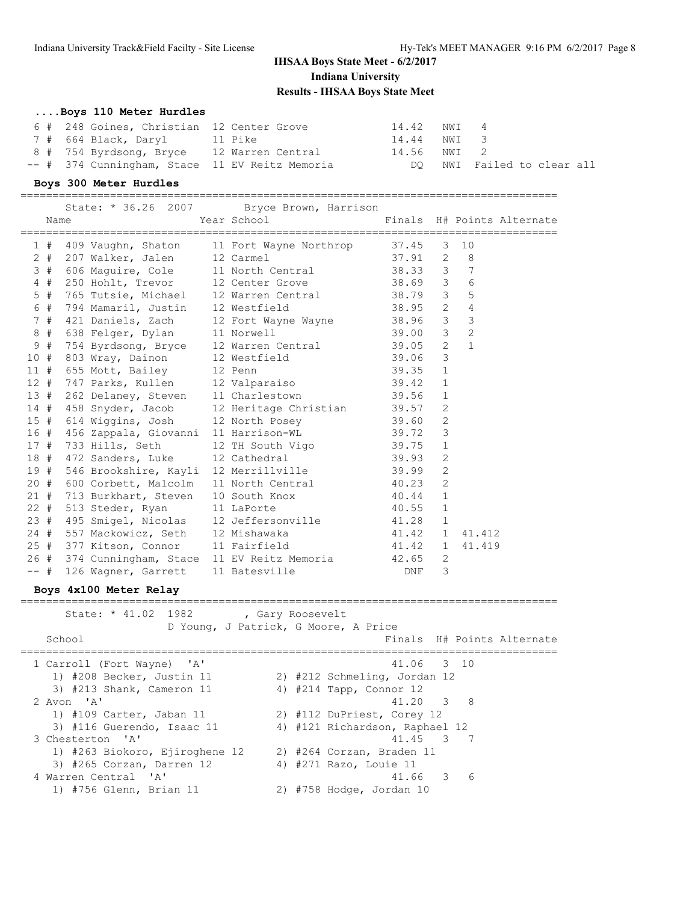#### **....Boys 110 Meter Hurdles**

|  | 6 # 248 Goines, Christian 12 Center Grove |                                                | 14.42 NWI 4 |                            |
|--|-------------------------------------------|------------------------------------------------|-------------|----------------------------|
|  | 7 # 664 Black, Daryl                      | 11 Pike                                        | 14.44 NWI 3 |                            |
|  | 8 # 754 Byrdsong, Bryce 12 Warren Central |                                                | 14.56 NWI 2 |                            |
|  |                                           | -- # 374 Cunningham, Stace 11 EV Reitz Memoria |             | DO NWI Failed to clear all |

#### **Boys 300 Meter Hurdles**

|     | Name                                 | State: * 36.26 2007 Bryce Brown, Harrison<br>Year School Tinals H# Points Alternate                                                 |           |                |                |
|-----|--------------------------------------|-------------------------------------------------------------------------------------------------------------------------------------|-----------|----------------|----------------|
|     |                                      |                                                                                                                                     |           |                |                |
|     |                                      | 1 # 409 Vaughn, Shaton 11 Fort Wayne Northrop 37.45 3 10<br>2 # 207 Walker, Jalen 12 Carmel 37.91 2 8                               |           |                |                |
|     |                                      | 3 # 606 Maguire, Cole 11 North Central 38.33 3 7                                                                                    |           |                |                |
|     |                                      | 4 # 250 Hohlt, Trevor 12 Center Grove 38.69 3 6                                                                                     |           |                |                |
| 5#  |                                      | 765 Tutsie, Michael 12 Warren Central 38.79 3 5                                                                                     |           |                |                |
| 6 # |                                      | 794 Mamaril, Justin 12 Westfield 38.95 2 4                                                                                          |           |                |                |
|     |                                      |                                                                                                                                     |           |                |                |
|     |                                      | 7 # 421 Daniels, Zach 12 Fort Wayne Wayne 38.96 3 3<br>8 # 638 Felger, Dylan 11 Norwell 39.00 3 2                                   |           |                |                |
|     |                                      | 9 # 754 Byrdsong, Bryce 12 Warren Central 39.05 2                                                                                   |           |                | $\overline{1}$ |
|     |                                      |                                                                                                                                     |           |                |                |
|     |                                      |                                                                                                                                     |           |                |                |
|     |                                      | 10 # 803 Wray, Dainon 12 Westfield 39.06 3<br>11 # 655 Mott, Bailey 12 Penn 39.35 1<br>12 # 747 Parks, Kullen 12 Valparaiso 39.42 1 |           |                |                |
|     |                                      | 13 # 262 Delaney, Steven 11 Charlestown 39.56 1                                                                                     |           |                |                |
|     |                                      | 14 # 458 Snyder, Jacob 12 Heritage Christian 39.57                                                                                  |           | 2              |                |
|     |                                      | 15 # 614 Wiggins, Josh 12 North Posey 39.60 2<br>16 # 456 Zappala, Giovanni 11 Harrison-WL 39.72 3                                  |           |                |                |
|     |                                      |                                                                                                                                     |           |                |                |
|     |                                      | 17 # 733 Hills, Seth 12 TH South Vigo 39.75 1<br>18 # 472 Sanders, Luke 12 Cathedral 39.93 2                                        |           |                |                |
|     |                                      |                                                                                                                                     |           |                |                |
|     |                                      | 19 # 546 Brookshire, Kayli 12 Merrillville 39.99                                                                                    |           | $\overline{c}$ |                |
|     |                                      | 20 # 600 Corbett, Malcolm 11 North Central 40.23<br>21 # 713 Burkhart, Steven 10 South Knox 40.44                                   |           | 2              |                |
|     |                                      |                                                                                                                                     |           | $\mathbf{1}$   |                |
|     | 22 # 513 Steder, Ryan 11 LaPorte     |                                                                                                                                     | $40.55$ 1 |                |                |
|     |                                      | 23 # 495 Smigel, Nicolas 12 Jeffersonville 41.28                                                                                    |           | $\mathbf{1}$   |                |
|     |                                      | 24 # 557 Mackowicz, Seth 12 Mishawaka 41.42 1                                                                                       |           |                | 41.412         |
|     | 25 # 377 Kitson, Connor 11 Fairfield |                                                                                                                                     | 41.42 1   |                | 41.419         |
|     |                                      | 26 # 374 Cunningham, Stace 11 EV Reitz Memoria 42.65 2<br>-- # 126 Wagner, Garrett 11 Batesville 10 DNF 3                           |           |                |                |
|     |                                      |                                                                                                                                     |           |                |                |

## **Boys 4x100 Meter Relay**

==================================================================================== State: \* 41.02 1982 , Gary Roosevelt D Young, J Patrick, G Moore, A Price School **Finals H# Points Alternate** ==================================================================================== 1 Carroll (Fort Wayne) 'A' 41.06 3 10 1) #208 Becker, Justin 11 2) #212 Schmeling, Jordan 12 3) #213 Shank, Cameron 11 4) #214 Tapp, Connor 12 2 Avon 'A' 41.20 3 8 1) #109 Carter, Jaban 11 2) #112 DuPriest, Corey 12 3) #116 Guerendo, Isaac 11 4) #121 Richardson, Raphael 12 3 Chesterton 'A' 41.45 3 7 1) #263 Biokoro, Ejiroghene 12 2) #264 Corzan, Braden 11 3) #265 Corzan, Darren 12 4) #271 Razo, Louie 11 4 Warren Central 'A' 41.66 3 6 1) #756 Glenn, Brian 11 2) #758 Hodge, Jordan 10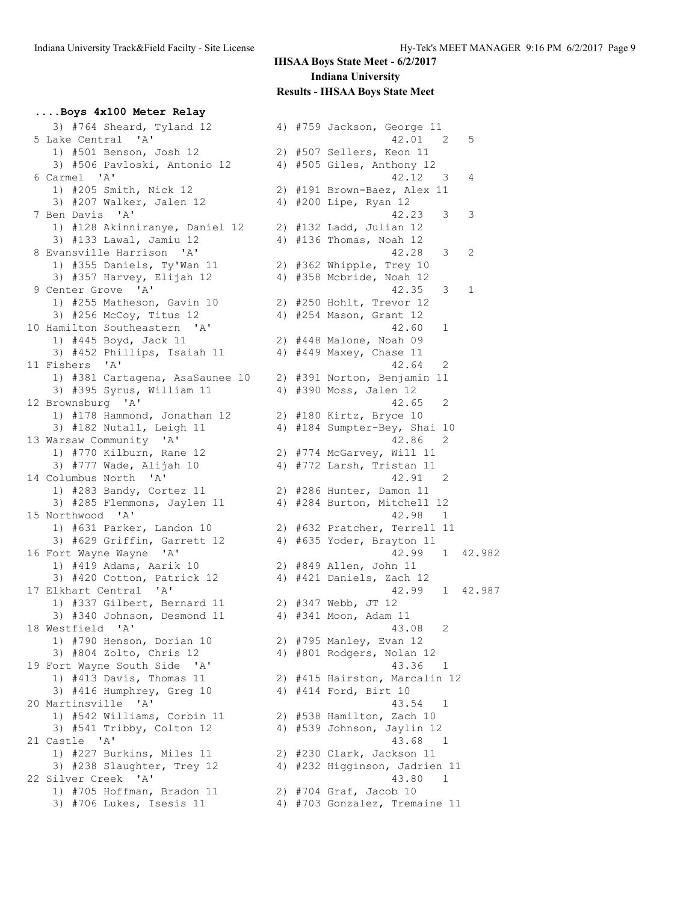## **....Boys 4x100 Meter Relay**

| 3) #764 Sheard, Tyland 12       |  | 4) #759 Jackson, George 11          |
|---------------------------------|--|-------------------------------------|
| 5 Lake Central 'A'              |  | 42.01<br>$\overline{\phantom{0}}^2$ |
| 1) #501 Benson, Josh 12         |  | 2) #507 Sellers, Keon 11            |
| 3) #506 Pavloski, Antonio 12    |  | 4) #505 Giles, Anthony 12           |
| 6 Carmel 'A'                    |  | 42.12 3                             |
| 1) #205 Smith, Nick 12          |  | 2) #191 Brown-Baez, Alex 11         |
| 3) #207 Walker, Jalen 12        |  | 4) #200 Lipe, Ryan 12               |
| 7 Ben Davis 'A'                 |  | 42.23<br>3                          |
| 1) #128 Akinniranye, Daniel 12  |  | 2) #132 Ladd, Julian 12             |
|                                 |  |                                     |
| 3) #133 Lawal, Jamiu 12         |  | 4) #136 Thomas, Noah 12             |
| 8 Evansville Harrison 'A'       |  | 42.28<br>3                          |
| 1) #355 Daniels, Ty'Wan 11      |  | 2) #362 Whipple, Trey 10            |
| 3) #357 Harvey, Elijah 12       |  | 4) #358 Mcbride, Noah 12            |
| 9 Center Grove 'A'              |  | 42.35<br>3                          |
| 1) #255 Matheson, Gavin 10      |  | 2) #250 Hohlt, Trevor 12            |
| 3) #256 McCoy, Titus 12         |  | 4) #254 Mason, Grant 12             |
| 10 Hamilton Southeastern 'A'    |  | 42.60<br>$\mathbf{1}$               |
| 1) #445 Boyd, Jack 11           |  | 2) #448 Malone, Noah 09             |
| 3) #452 Phillips, Isaiah 11     |  | 4) #449 Maxey, Chase 11             |
| 11 Fishers 'A'                  |  | 42.64<br>2                          |
| 1) #381 Cartagena, AsaSaunee 10 |  | 2) #391 Norton, Benjamin 11         |
| 3) #395 Syrus, William 11       |  | 4) #390 Moss, Jalen 12              |
|                                 |  |                                     |
| 12 Brownsburg 'A'               |  | 42.65<br>2                          |
| 1) #178 Hammond, Jonathan 12    |  | 2) #180 Kirtz, Bryce 10             |
| 3) #182 Nutall, Leigh 11        |  | 4) #184 Sumpter-Bey, Shai 10        |
| 13 Warsaw Community 'A'         |  | 42.86<br>$\overline{2}$             |
| 1) #770 Kilburn, Rane 12        |  | 2) #774 McGarvey, Will 11           |
| 3) #777 Wade, Alijah 10         |  | 4) #772 Larsh, Tristan 11           |
| 14 Columbus North 'A'           |  | 42.91<br>-2                         |
| 1) #283 Bandy, Cortez 11        |  | 2) #286 Hunter, Damon 11            |
| 3) #285 Flemmons, Jaylen 11     |  | 4) #284 Burton, Mitchell 12         |
| 15 Northwood 'A'                |  | 42.98<br>$\mathbf{1}$               |
| 1) #631 Parker, Landon 10       |  | 2) #632 Pratcher, Terrell 11        |
| 3) #629 Griffin, Garrett 12     |  | 4) #635 Yoder, Brayton 11           |
| 16 Fort Wayne Wayne 'A'         |  | 42.99<br>$\mathbf{1}$               |
| 1) #419 Adams, Aarik 10         |  |                                     |
|                                 |  | 2) #849 Allen, John 11              |
| 3) #420 Cotton, Patrick 12      |  | 4) #421 Daniels, Zach 12            |
| 17 Elkhart Central 'A'          |  | 42.99<br>$\mathbf{1}$               |
| 1) #337 Gilbert, Bernard 11     |  | 2) #347 Webb, JT 12                 |
| 3) #340 Johnson, Desmond 11     |  | 4) #341 Moon, Adam 11               |
| 18 Westfield 'A'                |  | 43.08<br>2                          |
| 1) #790 Henson, Dorian 10       |  | 2) #795 Manley, Evan 12             |
| 3) #804 Zolto, Chris 12         |  | 4) #801 Rodgers, Nolan 12           |
| 19 Fort Wayne South Side 'A'    |  | 43.36<br>$\mathbf{1}$               |
| 1) #413 Davis, Thomas 11        |  | 2) #415 Hairston, Marcalin 1        |
| 3) #416 Humphrey, Greg 10       |  | 4) #414 Ford, Birt 10               |
| 20 Martinsville 'A'             |  | 43.54 1                             |
| 1) #542 Williams, Corbin 11     |  | 2) #538 Hamilton, Zach 10           |
|                                 |  |                                     |
| 3) #541 Tribby, Colton 12       |  | 4) #539 Johnson, Jaylin 12          |
| 21 Castle 'A'                   |  | 43.68 1                             |
| 1) #227 Burkins, Miles 11       |  | 2) #230 Clark, Jackson 11           |
| 3) #238 Slaughter, Trey 12      |  | 4) #232 Higginson, Jadrien 1        |
| 22 Silver Creek 'A'             |  | 43.80<br>$\mathbf{1}$               |
| 1) #705 Hoffman, Bradon 11      |  | 2) #704 Graf, Jacob 10              |
| 3) #706 Lukes, Isesis 11        |  | 4) #703 Gonzalez, Tremaine 1        |
|                                 |  |                                     |

| 3) #764 Sheard, Tyland 12                        |  | 4) #759 Jackson, George 11             |
|--------------------------------------------------|--|----------------------------------------|
| 5 Lake Central 'A'                               |  | 42.01<br>2<br>5                        |
| 1) #501 Benson, Josh 12                          |  | 2) #507 Sellers, Keon 11               |
| 3) #506 Pavloski, Antonio 12                     |  | 4) #505 Giles, Anthony 12              |
| 6 Carmel 'A'                                     |  | 42.12<br>4<br>$\overline{\phantom{a}}$ |
| 1) #205 Smith, Nick 12                           |  | 2) #191 Brown-Baez, Alex 11            |
| 3) #207 Walker, Jalen 12                         |  | 4) #200 Lipe, Ryan 12                  |
| 7 Ben Davis 'A'                                  |  | 42.23<br>3<br>3                        |
| 1) #128 Akinniranye, Daniel 12                   |  | 2) #132 Ladd, Julian 12                |
| 3) #133 Lawal, Jamiu 12                          |  | 4) #136 Thomas, Noah 12                |
| 8 Evansville Harrison 'A'                        |  | 42.28<br>3<br>2                        |
| 1) #355 Daniels, Ty'Wan 11                       |  | 2) #362 Whipple, Trey 10               |
| 3) #357 Harvey, Elijah 12                        |  | 4) #358 Mcbride, Noah 12               |
| 9 Center Grove 'A'                               |  | 42.35<br>$\mathbf{1}$<br>3             |
| 1) #255 Matheson, Gavin 10                       |  | 2) #250 Hohlt, Trevor 12               |
| 3) #256 McCoy, Titus 12                          |  | 4) #254 Mason, Grant 12                |
| 10 Hamilton Southeastern 'A'                     |  | 42.60<br>$\mathbf 1$                   |
| 1) #445 Boyd, Jack 11                            |  | 2) #448 Malone, Noah 09                |
| 3) #452 Phillips, Isaiah 11                      |  | 4) #449 Maxey, Chase 11                |
| 11 Fishers 'A'                                   |  | 42.64<br>2                             |
| 1) #381 Cartagena, AsaSaunee 10                  |  | 2) #391 Norton, Benjamin 11            |
|                                                  |  |                                        |
| 3) #395 Syrus, William 11                        |  | 4) #390 Moss, Jalen 12                 |
| 12 Brownsburg 'A'                                |  | 42.65<br>2                             |
| 1) #178 Hammond, Jonathan 12                     |  | 2) #180 Kirtz, Bryce 10                |
| 3) #182 Nutall, Leigh 11                         |  | 4) #184 Sumpter-Bey, Shai 10           |
| 13 Warsaw Community 'A'                          |  | 42.86<br>2                             |
| 1) #770 Kilburn, Rane 12                         |  | 2) #774 McGarvey, Will 11              |
| 3) #777 Wade, Alijah 10                          |  | 4) #772 Larsh, Tristan 11              |
| 14 Columbus North 'A'                            |  | 42.91<br>2                             |
| 1) #283 Bandy, Cortez 11                         |  | 2) #286 Hunter, Damon 11               |
| 3) #285 Flemmons, Jaylen 11                      |  | 4) #284 Burton, Mitchell 12            |
| 15 Northwood 'A'                                 |  | 42.98<br>$\overline{\phantom{1}}$      |
| 1) #631 Parker, Landon 10                        |  | 2) #632 Pratcher, Terrell 11           |
| 3) #629 Griffin, Garrett 12                      |  | 4) #635 Yoder, Brayton 11              |
| 16 Fort Wayne Wayne<br>$^{\prime}$ A $^{\prime}$ |  | 42.99<br>1<br>42.982                   |
| 1) #419 Adams, Aarik 10                          |  | 2) #849 Allen, John 11                 |
| 3) #420 Cotton, Patrick 12                       |  | 4) #421 Daniels, Zach 12               |
| 17 Elkhart Central 'A'                           |  | 42.99<br>1 42.987                      |
| 1) #337 Gilbert, Bernard 11                      |  | 2) #347 Webb, JT 12                    |
| 3) #340 Johnson, Desmond 11                      |  | 4) #341 Moon, Adam 11                  |
| 18 Westfield 'A'                                 |  | 43.08<br>2                             |
| 1) #790 Henson, Dorian 10                        |  | 2) #795 Manley, Evan 12                |
| 3) #804 Zolto, Chris 12                          |  | 4) #801 Rodgers, Nolan 12              |
| 19 Fort Wayne South Side 'A'                     |  | 43.36<br>$\overline{1}$                |
| 1) #413 Davis, Thomas 11                         |  | 2) #415 Hairston, Marcalin 12          |
| 3) #416 Humphrey, Greg 10                        |  | 4) #414 Ford, Birt 10                  |
| 20 Martinsville<br>' A'                          |  | 43.54 1                                |
| 1) #542 Williams, Corbin 11                      |  | 2) #538 Hamilton, Zach 10              |
| 3) #541 Tribby, Colton 12                        |  | 4) #539 Johnson, Jaylin 12             |
| 21 Castle 'A'                                    |  | 43.68<br>$\overline{1}$                |
| 1) #227 Burkins, Miles 11                        |  | 2) #230 Clark, Jackson 11              |
| 3) #238 Slaughter, Trey 12                       |  | 4) #232 Higginson, Jadrien 11          |
| 22 Silver Creek 'A'                              |  | 43.80<br>$\mathbf 1$                   |
| 1) #705 Hoffman, Bradon 11                       |  | 2) #704 Graf, Jacob 10                 |
| 3) #706 Lukes, Isesis 11                         |  | 4) #703 Gonzalez, Tremaine 11          |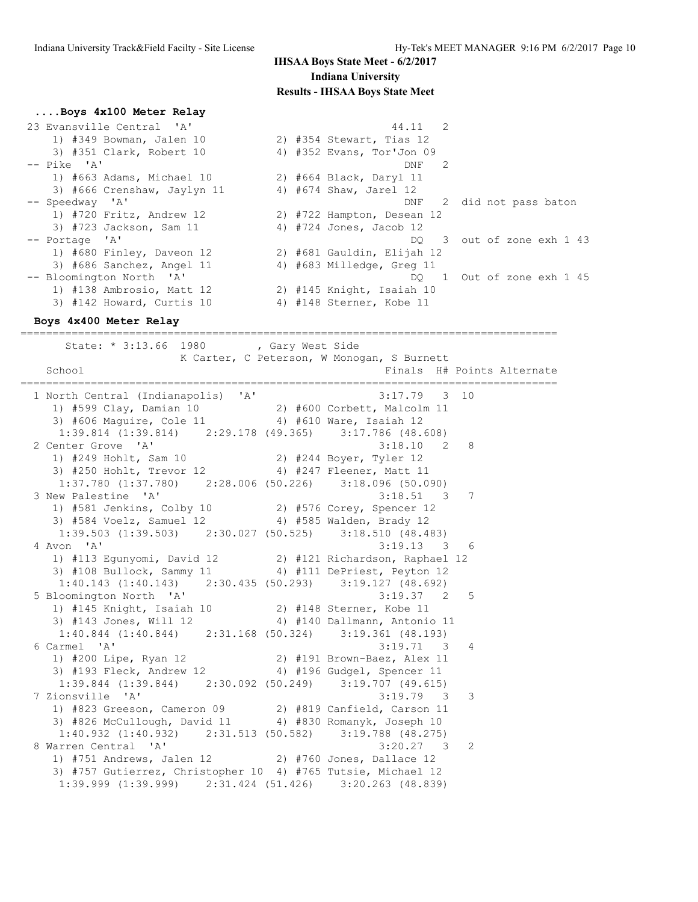#### **....Boys 4x100 Meter Relay**

| 23 Evansville Central 'A'   | 44.11 2                        |
|-----------------------------|--------------------------------|
| 1) #349 Bowman, Jalen 10    | 2) #354 Stewart, Tias 12       |
| 3) #351 Clark, Robert 10    | 4) #352 Evans, Tor'Jon 09      |
| $--$ Pike $'A'$             | $\overline{2}$<br>DNF          |
| 1) #663 Adams, Michael 10   | 2) #664 Black, Daryl 11        |
| 3) #666 Crenshaw, Jaylyn 11 | 4) #674 Shaw, Jarel 12         |
| -- Speedway 'A'             | 2 did not pass baton<br>DNF    |
| 1) #720 Fritz, Andrew 12    | 2) #722 Hampton, Desean 12     |
| 3) #723 Jackson, Sam 11     | 4) #724 Jones, Jacob 12        |
| -- Portage 'A'              | 3 out of zone exh 1 43<br>DO - |
| 1) #680 Finley, Daveon 12   | 2) #681 Gauldin, Elijah 12     |
| 3) #686 Sanchez, Angel 11   | 4) #683 Milledge, Greg 11      |
| -- Bloomington North 'A'    | DQ 1 Out of zone exh 1 45      |
| 1) #138 Ambrosio, Matt 12   | 2) #145 Knight, Isaiah 10      |
| 3) #142 Howard, Curtis 10   | 4) #148 Sterner, Kobe 11       |

====================================================================================

#### **Boys 4x400 Meter Relay**

State: \* 3:13.66 1980 , Gary West Side K Carter, C Peterson, W Monogan, S Burnett School **Finals H**# Points Alternate ==================================================================================== 1 North Central (Indianapolis) 'A' 3:17.79 3 10 1) #599 Clay, Damian 10 2) #600 Corbett, Malcolm 11 3) #606 Maguire, Cole 11 4) #610 Ware, Isaiah 12 1:39.814 (1:39.814) 2:29.178 (49.365) 3:17.786 (48.608) 2 Center Grove 'A' 3:18.10 2 8 1) #249 Hohlt, Sam 10 2) #244 Boyer, Tyler 12 3) #250 Hohlt, Trevor 12 4) #247 Fleener, Matt 11 1:37.780 (1:37.780) 2:28.006 (50.226) 3:18.096 (50.090) 3 New Palestine 'A' 3:18.51 3 7 1) #581 Jenkins, Colby 10 2) #576 Corey, Spencer 12 3) #584 Voelz, Samuel 12 4) #585 Walden, Brady 12 1:39.503 (1:39.503) 2:30.027 (50.525) 3:18.510 (48.483)<br>4 Avon 'A' 3:19.13 3 3:19.13 3 6 1) #113 Egunyomi, David 12 2) #121 Richardson, Raphael 12 3) #108 Bullock, Sammy 11 4) #111 DePriest, Peyton 12 1:40.143 (1:40.143) 2:30.435 (50.293) 3:19.127 (48.692)<br>loomington North 'A' 3:19.37 2 5 5 Bloomington North 'A' 3:19.37 2 5 1) #145 Knight, Isaiah 10 2) #148 Sterner, Kobe 11 3) #143 Jones, Will 12 4) #140 Dallmann, Antonio 11 1:40.844 (1:40.844) 2:31.168 (50.324) 3:19.361 (48.193) 6 Carmel 'A' 3:19.71 3 4 1) #200 Lipe, Ryan 12 2) #191 Brown-Baez, Alex 11 3) #193 Fleck, Andrew 12 4) #196 Gudgel, Spencer 11 1:39.844 (1:39.844) 2:30.092 (50.249) 3:19.707 (49.615) 7 Zionsville 'A' 3:19.79 3 3 1) #823 Greeson, Cameron 09 2) #819 Canfield, Carson 11 3) #826 McCullough, David 11 4) #830 Romanyk, Joseph 10 1:40.932 (1:40.932) 2:31.513 (50.582) 3:19.788 (48.275) 8 Warren Central 'A' 3:20.27 3 2 1) #751 Andrews, Jalen 12 2) #760 Jones, Dallace 12 3) #757 Gutierrez, Christopher 10 4) #765 Tutsie, Michael 12 1:39.999 (1:39.999) 2:31.424 (51.426) 3:20.263 (48.839)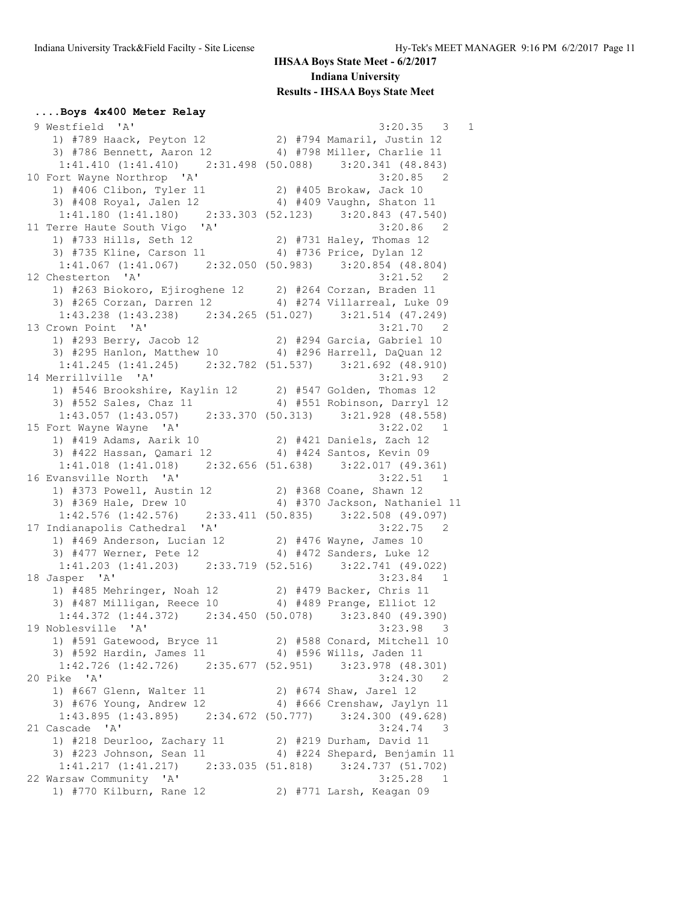#### **....Boys 4x400 Meter Relay**

 9 Westfield 'A' 3:20.35 3 1 1) #789 Haack, Peyton 12 2) #794 Mamaril, Justin 12 3) #786 Bennett, Aaron 12 4) #798 Miller, Charlie 11 1:41.410 (1:41.410) 2:31.498 (50.088) 3:20.341 (48.843) 10 Fort Wayne Northrop 'A' 3:20.85 2 1) #406 Clibon, Tyler 11 2) #405 Brokaw, Jack 10 3) #408 Royal, Jalen 12 4) #409 Vaughn, Shaton 11 1:41.180 (1:41.180) 2:33.303 (52.123) 3:20.843 (47.540)<br>11 Terre Haute South Vigo 'A' 3:20.86 2 11 Terre Haute South Vigo 'A' 3:20.86 2 1) #733 Hills, Seth 12 2) #731 Haley, Thomas 12 3) #735 Kline, Carson 11 4) #736 Price, Dylan 12 1:41.067 (1:41.067) 2:32.050 (50.983) 3:20.854 (48.804)<br>hesterton 'A' 3:21.52 2 12 Chesterton 'A' 3:21.52 2 1) #263 Biokoro, Ejiroghene 12 2) #264 Corzan, Braden 11 3) #265 Corzan, Darren 12 4) #274 Villarreal, Luke 09 1:43.238 (1:43.238) 2:34.265 (51.027) 3:21.514 (47.249) 13 Crown Point 'A' 3:21.70 2 1) #293 Berry, Jacob 12 2) #294 Garcia, Gabriel 10 3) #295 Hanlon, Matthew 10 4) #296 Harrell, DaQuan 12 1:41.245 (1:41.245) 2:32.782 (51.537) 3:21.692 (48.910)<br>14 Merrillville 'A' 3:21.93 2 14 Merrillville 'A' 3:21.93 2 1) #546 Brookshire, Kaylin 12 2) #547 Golden, Thomas 12 3) #552 Sales, Chaz 11 4) #551 Robinson, Darryl 12 1:43.057 (1:43.057) 2:33.370 (50.313) 3:21.928 (48.558) 15 Fort Wayne Wayne 'A' 3:22.02 1 1) #419 Adams, Aarik 10 2) #421 Daniels, Zach 12 3) #422 Hassan, Qamari 12 4) #424 Santos, Kevin 09 1:41.018 (1:41.018) 2:32.656 (51.638) 3:22.017 (49.361) 16 Evansville North 'A' 3:22.51 1 1) #373 Powell, Austin 12 2) #368 Coane, Shawn 12 3) #369 Hale, Drew 10 4) #370 Jackson, Nathaniel 11 1:42.576 (1:42.576) 2:33.411 (50.835) 3:22.508 (49.097) 17 Indianapolis Cathedral 'A' 3:22.75 2 1) #469 Anderson, Lucian 12 2) #476 Wayne, James 10 3) #477 Werner, Pete 12 4) #472 Sanders, Luke 12 1:41.203 (1:41.203) 2:33.719 (52.516) 3:22.741 (49.022) 18 Jasper 'A' 3:23.84 1 1) #485 Mehringer, Noah 12 2) #479 Backer, Chris 11 3) #487 Milligan, Reece 10 4) #489 Prange, Elliot 12 1:44.372 (1:44.372) 2:34.450 (50.078) 3:23.840 (49.390) 19 Noblesville 'A' 3:23.98 3 1) #591 Gatewood, Bryce 11 2) #588 Conard, Mitchell 10 3) #592 Hardin, James 11 4) #596 Wills, Jaden 11 1:42.726 (1:42.726) 2:35.677 (52.951) 3:23.978 (48.301) 20 Pike 'A' 3:24.30 2 1) #667 Glenn, Walter 11 2) #674 Shaw, Jarel 12 3) #676 Young, Andrew 12 4) #666 Crenshaw, Jaylyn 11 1:43.895 (1:43.895) 2:34.672 (50.777) 3:24.300 (49.628) 21 Cascade 'A' 3:24.74 3 1) #218 Deurloo, Zachary 11 2) #219 Durham, David 11 3) #223 Johnson, Sean 11 4) #224 Shepard, Benjamin 11 1:41.217 (1:41.217) 2:33.035 (51.818) 3:24.737 (51.702) 22 Warsaw Community 'A' 3:25.28 1 1) #770 Kilburn, Rane 12 2) #771 Larsh, Keagan 09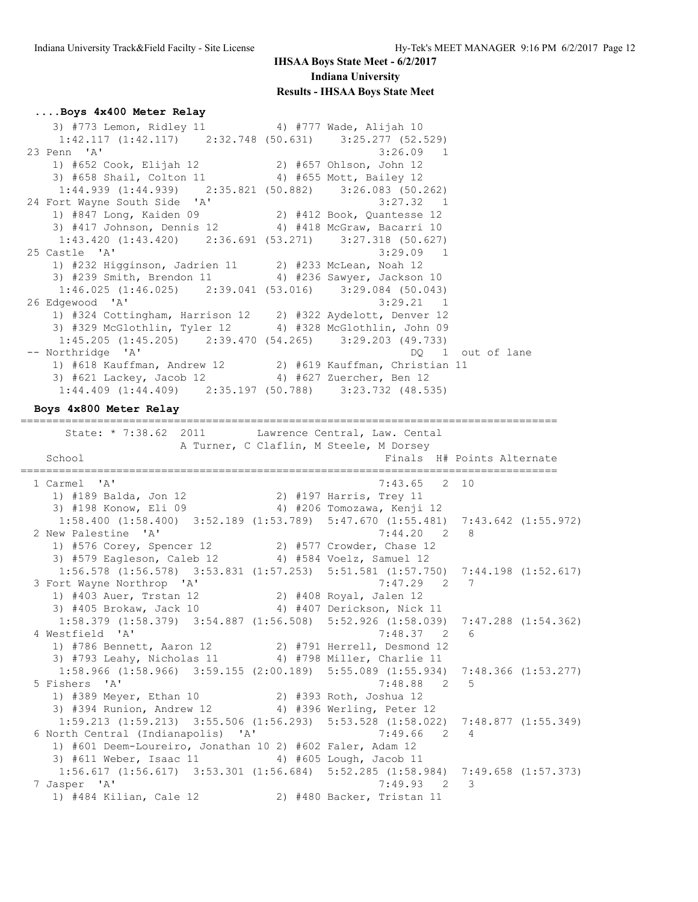### **....Boys 4x400 Meter Relay**

3) #773 Lemon, Ridley 11  $\qquad \qquad$  4) #777 Wade, Alijah 10 1:42.117 (1:42.117) 2:32.748 (50.631) 3:25.277 (52.529) 23 Penn 'A' 3:26.09 1 1) #652 Cook, Elijah 12 2) #657 Ohlson, John 12 3) #658 Shail, Colton 11 4) #655 Mott, Bailey 12 1:44.939 (1:44.939) 2:35.821 (50.882) 3:26.083 (50.262) 24 Fort Wayne South Side 'A' 3:27.32 1 1) #847 Long, Kaiden 09 2) #412 Book, Quantesse 12 3) #417 Johnson, Dennis 12 4) #418 McGraw, Bacarri 10 1:43.420 (1:43.420) 2:36.691 (53.271) 3:27.318 (50.627) 25 Castle 'A' 3:29.09 1 1) #232 Higginson, Jadrien 11 2) #233 McLean, Noah 12 3) #239 Smith, Brendon 11 4) #236 Sawyer, Jackson 10 1:46.025 (1:46.025) 2:39.041 (53.016) 3:29.084 (50.043) 26 Edgewood 'A' 3:29.21 1 1) #324 Cottingham, Harrison 12 2) #322 Aydelott, Denver 12 3) #329 McGlothlin, Tyler 12 4) #328 McGlothlin, John 09  $1:45.205$  (1:45.205) 2:39.470 (54.265) 3:29.203 (49.733) -- Northridge 'A' and the set of land the set of land the set of land the set of land the set of land the set of land 1) #618 Kauffman, Andrew 12 2) #619 Kauffman, Christian 11 3) #621 Lackey, Jacob 12 4) #627 Zuercher, Ben 12 1:44.409 (1:44.409) 2:35.197 (50.788) 3:23.732 (48.535)

====================================================================================

**Boys 4x800 Meter Relay**

State: \* 7:38.62 2011 Lawrence Central, Law. Cental A Turner, C Claflin, M Steele, M Dorsey School School **Finals** H# Points Alternate ==================================================================================== 1 Carmel 'A' 7:43.65 2 10 1) #189 Balda, Jon 12 2) #197 Harris, Trey 11 3) #198 Konow, Eli 09 4) #206 Tomozawa, Kenji 12 1:58.400 (1:58.400) 3:52.189 (1:53.789) 5:47.670 (1:55.481) 7:43.642 (1:55.972) 2 New Palestine 'A' 7:44.20 2 8 1) #576 Corey, Spencer 12 2) #577 Crowder, Chase 12 3) #579 Eagleson, Caleb 12 4) #584 Voelz, Samuel 12 1:56.578 (1:56.578) 3:53.831 (1:57.253) 5:51.581 (1:57.750) 7:44.198 (1:52.617) 3 Fort Wayne Northrop 'A' 7:47.29 2 7 1) #403 Auer, Trstan 12 2) #408 Royal, Jalen 12 3) #405 Brokaw, Jack 10 4) #407 Derickson, Nick 11 1:58.379 (1:58.379) 3:54.887 (1:56.508) 5:52.926 (1:58.039) 7:47.288 (1:54.362) 4 Westfield 'A' 7:48.37 2 6 1) #786 Bennett, Aaron 12 2) #791 Herrell, Desmond 12 3) #793 Leahy, Nicholas 11 4) #798 Miller, Charlie 11 1:58.966 (1:58.966) 3:59.155 (2:00.189) 5:55.089 (1:55.934) 7:48.366 (1:53.277) 5 Fishers 'A' 7:48.88 2 5 1) #389 Meyer, Ethan 10 2) #393 Roth, Joshua 12 3) #394 Runion, Andrew 12 4) #396 Werling, Peter 12 1:59.213 (1:59.213) 3:55.506 (1:56.293) 5:53.528 (1:58.022) 7:48.877 (1:55.349) 6 North Central (Indianapolis) 'A' 7:49.66 2 4 1) #601 Deem-Loureiro, Jonathan 10 2) #602 Faler, Adam 12 3) #611 Weber, Isaac 11 4) #605 Lough, Jacob 11 1:56.617 (1:56.617) 3:53.301 (1:56.684) 5:52.285 (1:58.984) 7:49.658 (1:57.373)  $7:49.93$  2 3 1) #484 Kilian, Cale 12 2) #480 Backer, Tristan 11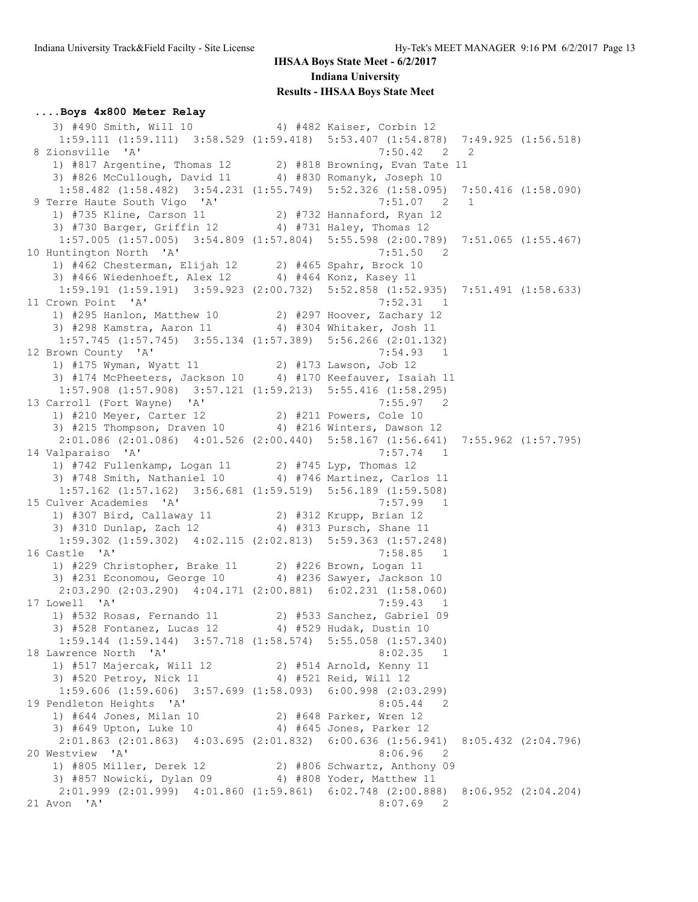### **....Boys 4x800 Meter Relay**

3) #490 Smith, Will 10 4) #482 Kaiser, Corbin 12 1:59.111 (1:59.111) 3:58.529 (1:59.418) 5:53.407 (1:54.878) 7:49.925 (1:56.518) 8 Zionsville 'A' 7:50.42 2 2 1) #817 Argentine, Thomas 12 2) #818 Browning, Evan Tate 11 3) #826 McCullough, David 11 4) #830 Romanyk, Joseph 10 1:58.482 (1:58.482) 3:54.231 (1:55.749) 5:52.326 (1:58.095) 7:50.416 (1:58.090) 9 Terre Haute South Vigo 'A' 7:51.07 2 1 1) #735 Kline, Carson 11 2) #732 Hannaford, Ryan 12 3) #730 Barger, Griffin 12 4) #731 Haley, Thomas 12 1:57.005 (1:57.005) 3:54.809 (1:57.804) 5:55.598 (2:00.789) 7:51.065 (1:55.467) 10 Huntington North 'A' 7:51.50 2 1) #462 Chesterman, Elijah 12 2) #465 Spahr, Brock 10 3) #466 Wiedenhoeft, Alex 12 4) #464 Konz, Kasey 11 1:59.191 (1:59.191) 3:59.923 (2:00.732) 5:52.858 (1:52.935) 7:51.491 (1:58.633) 11 Crown Point 'A' 7:52.31 1 1) #295 Hanlon, Matthew 10 2) #297 Hoover, Zachary 12 3) #298 Kamstra, Aaron 11 4) #304 Whitaker, Josh 11 1:57.745 (1:57.745) 3:55.134 (1:57.389) 5:56.266 (2:01.132) 12 Brown County 'A' 7:54.93 1<br>1 175 Wyman, Wyatt 11 2) #173 Lawson, Job 12 1) #175 Wyman, Wyatt 11 2) #173 Lawson, Job 12 3) #174 McPheeters, Jackson 10 4) #170 Keefauver, Isaiah 11 1:57.908 (1:57.908) 3:57.121 (1:59.213) 5:55.416 (1:58.295)<br>13 Carroll (Fort Wayne) 'A' 7:55.97 2 13 Carroll (Fort Wayne) 'A' 7:55.97 2 1) #210 Meyer, Carter 12 2) #211 Powers, Cole 10 3) #215 Thompson, Draven 10 4) #216 Winters, Dawson 12 2:01.086 (2:01.086) 4:01.526 (2:00.440) 5:58.167 (1:56.641) 7:55.962 (1:57.795) 14 Valparaiso 'A' 7:57.74 1 1) #742 Fullenkamp, Logan 11 2) #745 Lyp, Thomas 12 3) #748 Smith, Nathaniel 10 4) #746 Martinez, Carlos 11 1:57.162 (1:57.162) 3:56.681 (1:59.519) 5:56.189 (1:59.508) 15 Culver Academies 'A' 7:57.99 1 1) #307 Bird, Callaway 11 2) #312 Krupp, Brian 12 3) #310 Dunlap, Zach 12 4) #313 Pursch, Shane 11 1:59.302 (1:59.302) 4:02.115 (2:02.813) 5:59.363 (1:57.248) 16 Castle 'A' 7:58.85 1 1) #229 Christopher, Brake 11 2) #226 Brown, Logan 11 3) #231 Economou, George 10 4) #236 Sawyer, Jackson 10 2:03.290 (2:03.290) 4:04.171 (2:00.881) 6:02.231 (1:58.060) 17 Lowell 'A' 7:59.43 1 1) #532 Rosas, Fernando 11 2) #533 Sanchez, Gabriel 09 3) #528 Fontanez, Lucas 12 4) #529 Hudak, Dustin 10 1:59.144 (1:59.144) 3:57.718 (1:58.574) 5:55.058 (1:57.340) 18 Lawrence North 'A' 8:02.35 1 1) #517 Majercak, Will 12 2) #514 Arnold, Kenny 11 3) #520 Petroy, Nick 11 4) #521 Reid, Will 12 1:59.606 (1:59.606) 3:57.699 (1:58.093) 6:00.998 (2:03.299) 19 Pendleton Heights 'A' 8:05.44 2 1) #644 Jones, Milan 10 2) #648 Parker, Wren 12 3) #649 Upton, Luke 10 4) #645 Jones, Parker 12 2:01.863 (2:01.863) 4:03.695 (2:01.832) 6:00.636 (1:56.941) 8:05.432 (2:04.796) 20 Westview 'A' 8:06.96 2 1) #805 Miller, Derek 12 2) #806 Schwartz, Anthony 09 3) #857 Nowicki, Dylan 09 4) #808 Yoder, Matthew 11 2:01.999 (2:01.999) 4:01.860 (1:59.861) 6:02.748 (2:00.888) 8:06.952 (2:04.204) 21 Avon 'A' 8:07.69 2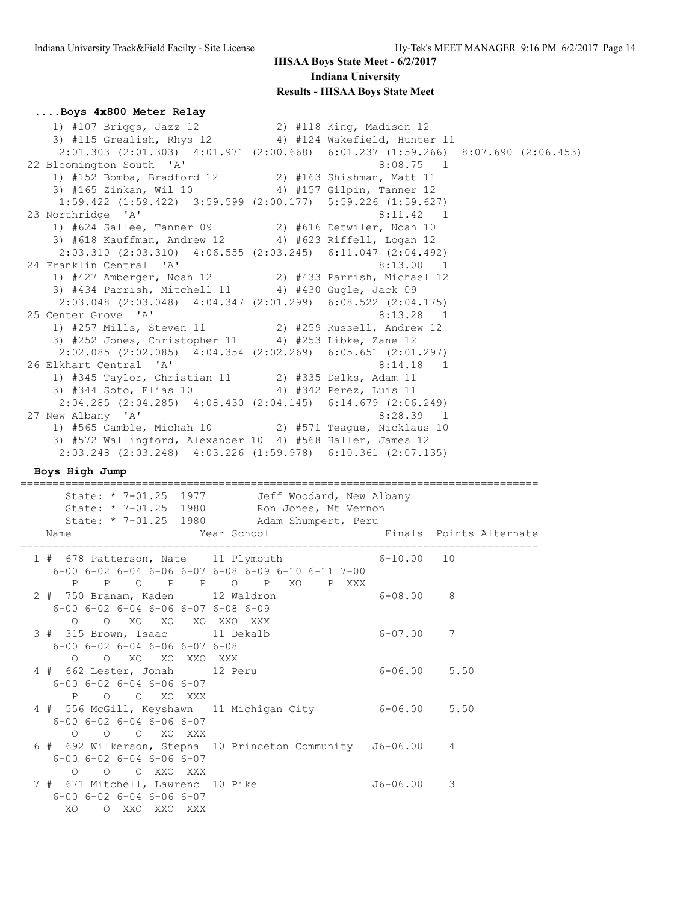#### **....Boys 4x800 Meter Relay**

 1) #107 Briggs, Jazz 12 2) #118 King, Madison 12 3) #115 Grealish, Rhys 12 4) #124 Wakefield, Hunter 11 2:01.303 (2:01.303) 4:01.971 (2:00.668) 6:01.237 (1:59.266) 8:07.690 (2:06.453) 22 Bloomington South 'A' 8:08.75 1 1) #152 Bomba, Bradford 12 2) #163 Shishman, Matt 11 3) #165 Zinkan, Wil 10 4) #157 Gilpin, Tanner 12 1:59.422 (1:59.422) 3:59.599 (2:00.177) 5:59.226 (1:59.627) 23 Northridge 'A' 8:11.42 1 1) #624 Sallee, Tanner 09 2) #616 Detwiler, Noah 10 3) #618 Kauffman, Andrew 12 4) #623 Riffell, Logan 12 2:03.310 (2:03.310) 4:06.555 (2:03.245) 6:11.047 (2:04.492) 24 Franklin Central 'A' 8:13.00 1 1) #427 Amberger, Noah 12 2) #433 Parrish, Michael 12 3) #434 Parrish, Mitchell 11 4) #430 Gugle, Jack 09 2:03.048 (2:03.048) 4:04.347 (2:01.299) 6:08.522 (2:04.175) 25 Center Grove 'A' 8:13.28 1 1) #257 Mills, Steven 11 2) #259 Russell, Andrew 12 3) #252 Jones, Christopher 11 4) #253 Libke, Zane 12 2:02.085 (2:02.085) 4:04.354 (2:02.269) 6:05.651 (2:01.297) 26 Elkhart Central 'A' 8:14.18 1 1) #345 Taylor, Christian 11 2) #335 Delks, Adam 11 3) #344 Soto, Elias 10 4) #342 Perez, Luis 11 2:04.285 (2:04.285) 4:08.430 (2:04.145) 6:14.679 (2:06.249)<br>27 New Albany 'A' 8:28.39 1 27 New Albany 'A' 8:28.39 1 1) #565 Camble, Michah 10 2) #571 Teague, Nicklaus 10 3) #572 Wallingford, Alexander 10 4) #568 Haller, James 12 2:03.248 (2:03.248) 4:03.226 (1:59.978) 6:10.361 (2:07.135)

**Boys High Jump**

================================================================================= State: \* 7-01.25 1977 Jeff Woodard, New Albany State: \* 7-01.25 1980 Ron Jones, Mt Vernon State: \* 7-01.25 1980 Adam Shumpert, Peru Name The Year School The Finals Points Alternate ================================================================================= 1 # 678 Patterson, Nate 11 Plymouth 6-00 6-02 6-04 6-06 6-07 6-08 6-09 6-10 6-11 7-00 P P O P P O P XO P XXX 2 # 750 Branam, Kaden 12 Waldron 6-08.00 8 6-00 6-02 6-04 6-06 6-07 6-08 6-09 O O XO XO XO XXO XXX 3 # 315 Brown, Isaac 11 Dekalb 6-07.00 7 6-00 6-02 6-04 6-06 6-07 6-08 O O XO XO XXO XXX 4 # 662 Lester, Jonah 12 Peru 6-06.00 5.50 6-00 6-02 6-04 6-06 6-07 P O O XO XXX 4 # 556 McGill, Keyshawn 11 Michigan City 6-06.00 5.50 6-00 6-02 6-04 6-06 6-07 O O O XO XXX 6 # 692 Wilkerson, Stepha 10 Princeton Community J6-06.00 4 6-00 6-02 6-04 6-06 6-07 O O O XXO XXX 7 # 671 Mitchell, Lawrenc 10 Pike 3 36-06.00 3 6-00 6-02 6-04 6-06 6-07 XO O XXO XXO XXX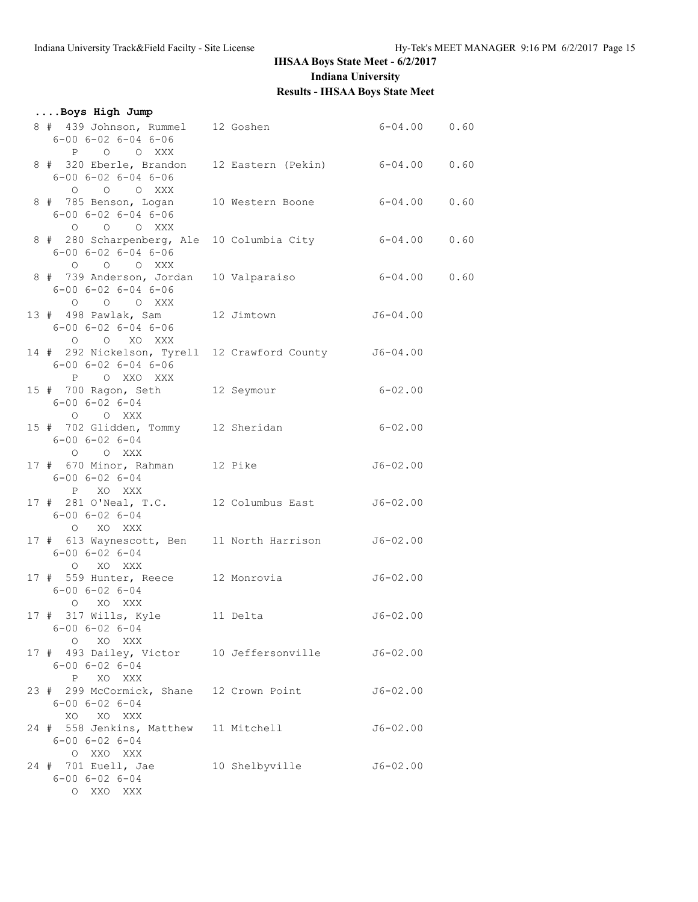| Boys High Jump                                                                                               |                |                  |      |
|--------------------------------------------------------------------------------------------------------------|----------------|------------------|------|
| 8 # 439 Johnson, Rummel 12 Goshen<br>$6 - 00$ $6 - 02$ $6 - 04$ $6 - 06$<br>P O O XXX                        |                | $6-04.00$ 0.60   |      |
| 8 # 320 Eberle, Brandon 12 Eastern (Pekin) 6-04.00 0.60<br>$6 - 00$ $6 - 02$ $6 - 04$ $6 - 06$<br>O O O XXX  |                |                  |      |
| 8 # 785 Benson, Logan 10 Western Boone<br>$6 - 00$ $6 - 02$ $6 - 04$ $6 - 06$<br>$O$ $O$ $O$ $XXX$           |                | $6 - 04.00$      | 0.60 |
| 8 # 280 Scharpenberg, Ale 10 Columbia City<br>$6 - 00$ $6 - 02$ $6 - 04$ $6 - 06$<br>O O O XXX               |                | $6 - 04.00$ 0.60 |      |
| 8 # 739 Anderson, Jordan 10 Valparaiso 6-04.00 0.60<br>$6 - 00$ $6 - 02$ $6 - 04$ $6 - 06$<br>0 0 0 XXX      |                |                  |      |
| 13 # 498 Pawlak, Sam 12 Jimtown 56-04.00<br>$6 - 00$ $6 - 02$ $6 - 04$ $6 - 06$<br>O O XO XXX                |                |                  |      |
| 14 # 292 Nickelson, Tyrell 12 Crawford County J6-04.00<br>$6 - 00$ $6 - 02$ $6 - 04$ $6 - 06$<br>P O XXO XXX |                |                  |      |
| 15 # 700 Ragon, Seth 12 Seymour<br>$6 - 00$ $6 - 02$ $6 - 04$<br>O O XXX                                     |                | $6 - 02.00$      |      |
| 15 # 702 Glidden, Tommy 12 Sheridan 6-02.00<br>$6 - 00$ $6 - 02$ $6 - 04$<br>O O XXX                         |                |                  |      |
| 17 # 670 Minor, Rahman 12 Pike<br>$6 - 00$ $6 - 02$ $6 - 04$<br>P XO XXX                                     |                | $J6 - 02.00$     |      |
| 17 # 281 O'Neal, T.C. 12 Columbus East J6-02.00<br>$6 - 00$ $6 - 02$ $6 - 04$<br>O XO XXX                    |                |                  |      |
| 17 # 613 Waynescott, Ben 11 North Harrison J6-02.00<br>$6 - 00$ $6 - 02$ $6 - 04$<br>O XO XXX                |                |                  |      |
| 17 # 559 Hunter, Reece 12 Monrovia 56-02.00<br>$6 - 00$ $6 - 02$ $6 - 04$<br>O XO XXX                        |                |                  |      |
| 17 # 317 Wills, Kyle 11 Delta<br>$6 - 00$ $6 - 02$ $6 - 04$<br>O XO XXX                                      |                | $J6-02.00$       |      |
| 17 # 493 Dailey, Victor 10 Jeffersonville 56-02.00<br>$6 - 00$ $6 - 02$ $6 - 04$<br>P XO XXX                 |                |                  |      |
| 23 # 299 McCormick, Shane 12 Crown Point<br>$6 - 00$ $6 - 02$ $6 - 04$<br>XO XO XXX                          |                | $J6 - 02.00$     |      |
| 24 # 558 Jenkins, Matthew 11 Mitchell<br>$6 - 00$ $6 - 02$ $6 - 04$<br>O XXO XXX                             |                | $J6 - 02.00$     |      |
| 24 # 701 Euell, Jae<br>$6 - 00$ $6 - 02$ $6 - 04$<br>O XXO XXX                                               | 10 Shelbyville | $J6 - 02.00$     |      |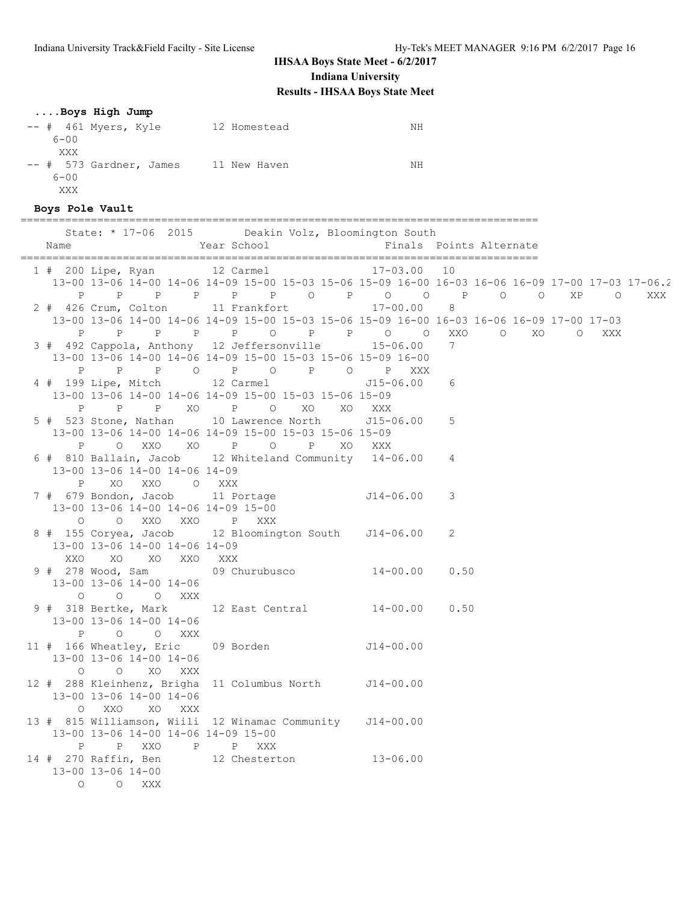## **....Boys High Jump**

-- # 461 Myers, Kyle 12 Homestead NH 6-00 XXX -- # 573 Gardner, James 11 New Haven 11 New Marken 6-00 XXX

#### **Boys Pole Vault**

================================================================================= State: \* 17-06 2015 Deakin Volz, Bloomington South

| Name | LI OU LUIJ                                                                                        | Year School | bearen volas producingeon bouen |    |     |                 | Finals Points Alternate |        |     |     |
|------|---------------------------------------------------------------------------------------------------|-------------|---------------------------------|----|-----|-----------------|-------------------------|--------|-----|-----|
|      | 1 # 200 Lipe, Ryan 12 Carmel 17-03.00 10                                                          |             |                                 |    |     |                 |                         |        |     |     |
|      | 13-00 13-06 14-00 14-06 14-09 15-00 15-03 15-06 15-09 16-00 16-03 16-06 16-09 17-00 17-03 17-06.2 |             |                                 |    |     |                 |                         |        |     |     |
|      | P P P P P P P O P O O P O O XP O<br>2 # 426 Crum, Colton 11 Frankfort 17-00.00 8                  |             |                                 |    |     |                 |                         |        |     | XXX |
|      |                                                                                                   |             |                                 |    |     |                 |                         |        |     |     |
|      | 13-00 13-06 14-00 14-06 14-09 15-00 15-03 15-06 15-09 16-00 16-03 16-06 16-09 17-00 17-03         |             |                                 |    |     |                 |                         |        |     |     |
|      |                                                                                                   |             |                                 |    |     |                 |                         | O XO O | XXX |     |
|      | 3 # 492 Cappola, Anthony 12 Jeffersonville 15-06.00 7                                             |             |                                 |    |     |                 |                         |        |     |     |
|      | 13-00 13-06 14-00 14-06 14-09 15-00 15-03 15-06 15-09 16-00                                       |             |                                 |    |     |                 |                         |        |     |     |
|      | 4 # 199 Lipe, Mitch 12 Carmel                                                                     |             |                                 |    |     | $J15 - 06.00$ 6 |                         |        |     |     |
|      | 13-00 13-06 14-00 14-06 14-09 15-00 15-03 15-06 15-09                                             |             |                                 |    |     |                 |                         |        |     |     |
|      | P P P XO P O XO XO XXX                                                                            |             |                                 |    |     |                 |                         |        |     |     |
|      | 5 # 523 Stone, Nathan 10 Lawrence North J15-06.00 5                                               |             |                                 |    |     |                 |                         |        |     |     |
|      | 13-00 13-06 14-00 14-06 14-09 15-00 15-03 15-06 15-09                                             |             |                                 |    |     |                 |                         |        |     |     |
| P    | O XXO XO P O P                                                                                    |             |                                 | XO | XXX |                 |                         |        |     |     |
|      | 6 # 810 Ballain, Jacob 12 Whiteland Community 14-06.00 4                                          |             |                                 |    |     |                 |                         |        |     |     |
|      | 13-00 13-06 14-00 14-06 14-09                                                                     |             |                                 |    |     |                 |                         |        |     |     |
|      | XO XXO O XXX<br>P                                                                                 |             |                                 |    |     |                 |                         |        |     |     |
|      | 7 # 679 Bondon, Jacob 11 Portage J14-06.00 3                                                      |             |                                 |    |     |                 |                         |        |     |     |
|      | 13-00 13-06 14-00 14-06 14-09 15-00                                                               |             |                                 |    |     |                 |                         |        |     |     |
|      | 0 0 XXO XXO P XXX                                                                                 |             |                                 |    |     |                 |                         |        |     |     |
|      | 8 # 155 Coryea, Jacob 12 Bloomington South J14-06.00<br>13-00 13-06 14-00 14-06 14-09             |             |                                 |    |     |                 | $\overline{2}$          |        |     |     |
|      | XXO XO XO XXO XXX                                                                                 |             |                                 |    |     |                 |                         |        |     |     |
|      |                                                                                                   |             |                                 |    |     |                 |                         |        |     |     |
|      | 13-00 13-06 14-00 14-06                                                                           |             |                                 |    |     |                 |                         |        |     |     |
|      | 0 0 0 XXX                                                                                         |             |                                 |    |     |                 |                         |        |     |     |
|      | 9 # 318 Bertke, Mark 12 East Central 14-00.00 0.50                                                |             |                                 |    |     |                 |                         |        |     |     |
|      | 13-00 13-06 14-00 14-06                                                                           |             |                                 |    |     |                 |                         |        |     |     |
|      | P O O XXX                                                                                         |             |                                 |    |     |                 |                         |        |     |     |
|      | 11 # 166 Wheatley, Eric 09 Borden 514-00.00                                                       |             |                                 |    |     |                 |                         |        |     |     |
|      | 13-00 13-06 14-00 14-06                                                                           |             |                                 |    |     |                 |                         |        |     |     |
|      | O O XO XXX                                                                                        |             |                                 |    |     |                 |                         |        |     |     |
|      | 12 # 288 Kleinhenz, Brigha 11 Columbus North J14-00.00                                            |             |                                 |    |     |                 |                         |        |     |     |
|      | 13-00 13-06 14-00 14-06<br>O XXO XO XXX                                                           |             |                                 |    |     |                 |                         |        |     |     |
|      | 13 # 815 Williamson, Wiili 12 Winamac Community J14-00.00                                         |             |                                 |    |     |                 |                         |        |     |     |
|      | 13-00 13-06 14-00 14-06 14-09 15-00                                                               |             |                                 |    |     |                 |                         |        |     |     |
|      | P P XXO P P XXX                                                                                   |             |                                 |    |     |                 |                         |        |     |     |
|      | 14 # 270 Raffin, Ben 12 Chesterton 13-06.00                                                       |             |                                 |    |     |                 |                         |        |     |     |
|      | 13-00 13-06 14-00                                                                                 |             |                                 |    |     |                 |                         |        |     |     |
|      | O O XXX                                                                                           |             |                                 |    |     |                 |                         |        |     |     |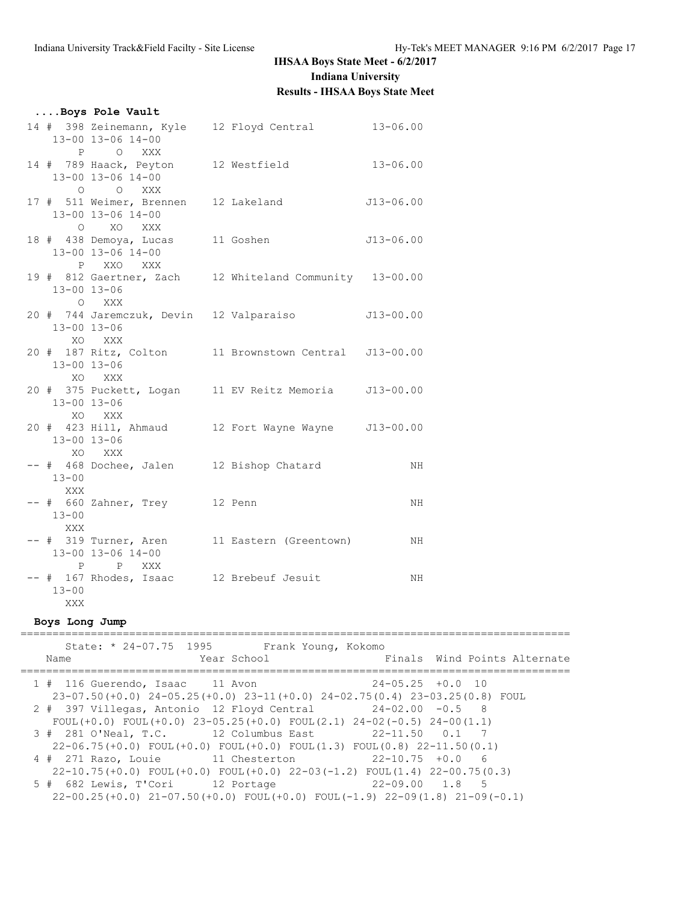|                          | Boys Pole Vault                                                      |                                                         |               |
|--------------------------|----------------------------------------------------------------------|---------------------------------------------------------|---------------|
|                          | 13-00 13-06 14-00                                                    | 14 # 398 Zeinemann, Kyle 12 Floyd Central 13-06.00      |               |
|                          | P O XXX<br>13-00 13-06 14-00                                         | 14 # 789 Haack, Peyton 12 Westfield 13-06.00            |               |
|                          | O O XXX<br>17 # 511 Weimer, Brennen 12 Lakeland<br>13-00 13-06 14-00 |                                                         | J13-06.00     |
|                          | O XO XXX<br>18 # 438 Demoya, Lucas 11 Goshen<br>13-00 13-06 14-00    |                                                         | $J13 - 06.00$ |
| 13-00 13-06              | P XXO XXX<br>O XXX                                                   | 19 # 812 Gaertner, Zach 12 Whiteland Community 13-00.00 |               |
| 13-00 13-06              |                                                                      | 20 # 744 Jaremczuk, Devin 12 Valparaiso $J13-00.00$     |               |
| 13-00 13-06              | XO XXX<br>XO XXX                                                     | 20 # 187 Ritz, Colton 11 Brownstown Central J13-00.00   |               |
| 13-00 13-06              | XO XXX                                                               | 20 # 375 Puckett, Logan 11 EV Reitz Memoria J13-00.00   |               |
| 13-00 13-06              | XO XXX                                                               | 20 # 423 Hill, Ahmaud 12 Fort Wayne Wayne J13-00.00     |               |
| $13 - 00$<br>XXX         |                                                                      | -- # 468 Dochee, Jalen 12 Bishop Chatard                | ΝH            |
| $13 - 00$<br>XXX         | -- # 660 Zahner, Trey 12 Penn                                        |                                                         | ΝH            |
|                          | 13-00 13-06 14-00<br>P P XXX                                         | -- # 319 Turner, Aren 11 Eastern (Greentown)            | ΝH            |
| $13 - 00$<br>XXX         | -- # 167 Rhodes, Isaac 12 Brebeuf Jesuit                             |                                                         | ΝH            |
| <b>Britishers</b> (1995) |                                                                      |                                                         |               |

## **Boys Long Jump**

| State: * 24-07.75 1995<br>Frank Young, Kokomo<br>Finals Wind Points Alternate<br>Year School<br>Name                                                      |
|-----------------------------------------------------------------------------------------------------------------------------------------------------------|
| $24 - 05.25 + 0.0$ 10<br>1 # 116 Guerendo, Isaac 11 Avon<br>$23-07.50(+0.0)$ $24-05.25(+0.0)$ $23-11(+0.0)$ $24-02.75(0.4)$ $23-03.25(0.8)$ FOUL          |
| $2$ # 397 Villegas, Antonio 12 Floyd Central $24-02.00$ -0.5 8<br>FOUL $(+0.0)$ FOUL $(+0.0)$ 23-05.25 $(+0.0)$ FOUL $(2.1)$ 24-02 $(-0.5)$ 24-00 $(1.1)$ |
| 3 # 281 O'Neal, T.C. 12 Columbus East 22-11.50 0.1 7<br>$22-06.75$ (+0.0) FOUL (+0.0) FOUL (+0.0) FOUL (1.3) FOUL (0.8) 22-11.50 (0.1)                    |
| $22-10.75$ $+0.0$ 6<br>4 # 271 Razo, Louie 11 Chesterton<br>$22-10.75(+0.0)$ FOUL(+0.0) FOUL(+0.0) $22-03(-1.2)$ FOUL(1.4) $22-00.75(0.3)$                |
| 5 # 682 Lewis, T'Cori 12 Portage<br>22-09.00 1.8 5<br>$22-00.25(+0.0)$ $21-07.50(+0.0)$ FOUL $(+0.0)$ FOUL $(-1.9)$ $22-09(1.8)$ $21-09(-0.1)$            |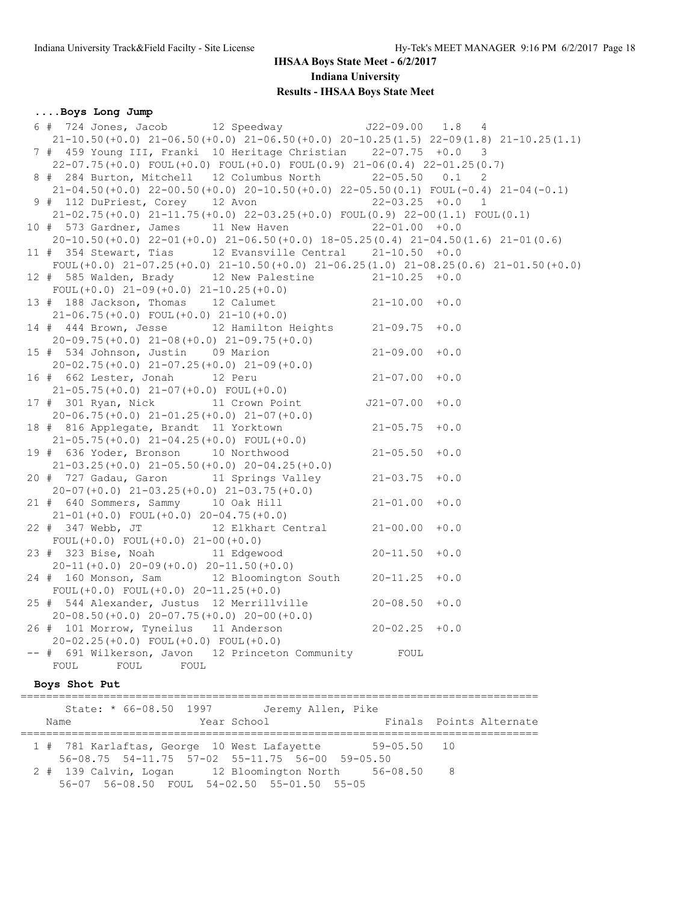#### **....Boys Long Jump**

 6 # 724 Jones, Jacob 12 Speedway J22-09.00 1.8 4 21-10.50(+0.0) 21-06.50(+0.0) 21-06.50(+0.0) 20-10.25(1.5) 22-09(1.8) 21-10.25(1.1) 7 # 459 Young III, Franki 10 Heritage Christian 22-07.75 +0.0 3 22-07.75(+0.0) FOUL(+0.0) FOUL(+0.0) FOUL(0.9) 21-06(0.4) 22-01.25(0.7) 8 # 284 Burton, Mitchell 12 Columbus North 22-05.50 0.1 2 21-04.50(+0.0) 22-00.50(+0.0) 20-10.50(+0.0) 22-05.50(0.1) FOUL(-0.4) 21-04(-0.1) 9 # 112 DuPriest, Corey 12 Avon 22-03.25 +0.0 1 21-02.75(+0.0) 21-11.75(+0.0) 22-03.25(+0.0) FOUL(0.9) 22-00(1.1) FOUL(0.1) 10 # 573 Gardner, James 11 New Haven 22-01.00 +0.0 20-10.50(+0.0) 22-01(+0.0) 21-06.50(+0.0) 18-05.25(0.4) 21-04.50(1.6) 21-01(0.6) 11 # 354 Stewart, Tias 12 Evansville Central 21-10.50 +0.0 FOUL(+0.0) 21-07.25(+0.0) 21-10.50(+0.0) 21-06.25(1.0) 21-08.25(0.6) 21-01.50(+0.0) 12 # 585 Walden, Brady 12 New Palestine 21-10.25 +0.0 FOUL(+0.0) 21-09(+0.0) 21-10.25(+0.0) 13 # 188 Jackson, Thomas 12 Calumet 21-10.00 +0.0 21-06.75(+0.0) FOUL(+0.0) 21-10(+0.0) 14 # 444 Brown, Jesse 12 Hamilton Heights 21-09.75 +0.0 20-09.75(+0.0) 21-08(+0.0) 21-09.75(+0.0) 15 # 534 Johnson, Justin 09 Marion 21-09.00 +0.0  $20-02.75(+0.0)$   $21-07.25(+0.0)$   $21-09(+0.0)$ <br> $4.662$  Tester Jensh  $12$  Peru 16 # 662 Lester, Jonah 12 Peru 21-07.00 +0.0 21-05.75(+0.0) 21-07(+0.0) FOUL(+0.0) 17 # 301 Ryan, Nick 11 Crown Point J21-07.00 +0.0 20-06.75(+0.0) 21-01.25(+0.0) 21-07(+0.0) 18 # 816 Applegate, Brandt 11 Yorktown 21-05.75 +0.0 21-05.75(+0.0) 21-04.25(+0.0) FOUL(+0.0) 19 # 636 Yoder, Bronson 10 Northwood 21-05.50 +0.0 21-03.25(+0.0) 21-05.50(+0.0) 20-04.25(+0.0) 20 # 727 Gadau, Garon 11 Springs Valley 21-03.75 +0.0 20-07(+0.0) 21-03.25(+0.0) 21-03.75(+0.0) 21 # 640 Sommers, Sammy 10 Oak Hill 21-01.00 +0.0 21-01(+0.0) FOUL(+0.0) 20-04.75(+0.0) 22 # 347 Webb, JT 12 Elkhart Central 21-00.00 +0.0 FOUL(+0.0) FOUL(+0.0) 21-00(+0.0) 23 # 323 Bise, Noah 11 Edgewood 20-11.50 +0.0 20-11(+0.0) 20-09(+0.0) 20-11.50(+0.0) 24 # 160 Monson, Sam 12 Bloomington South 20-11.25 +0.0 FOUL(+0.0) FOUL(+0.0)  $20-11.25(+0.0)$  25 # 544 Alexander, Justus 12 Merrillville 20-08.50 +0.0 20-08.50(+0.0) 20-07.75(+0.0) 20-00(+0.0) 26 # 101 Morrow, Tyneilus 11 Anderson 20-02.25 +0.0 20-02.25(+0.0) FOUL(+0.0) FOUL(+0.0) -- # 691 Wilkerson, Javon 12 Princeton Community FOUL FOUL FOUL FOUL

### **Boys Shot Put**

|                                                       | State: * 66-08.50 1997 Jeremy Allen, Pike                                                      |             |                         |
|-------------------------------------------------------|------------------------------------------------------------------------------------------------|-------------|-------------------------|
| Name                                                  | Year School                                                                                    |             | Finals Points Alternate |
| 1 # 781 Karlaftas, George 10 West Lafayette           |                                                                                                | 59-05.50 10 |                         |
| 2 # 139 Calvin, Logan 12 Bloomington North 56-08.50 8 | 56-08.75 54-11.75 57-02 55-11.75 56-00 59-05.50<br>56-07 56-08.50 FOUL 54-02.50 55-01.50 55-05 |             |                         |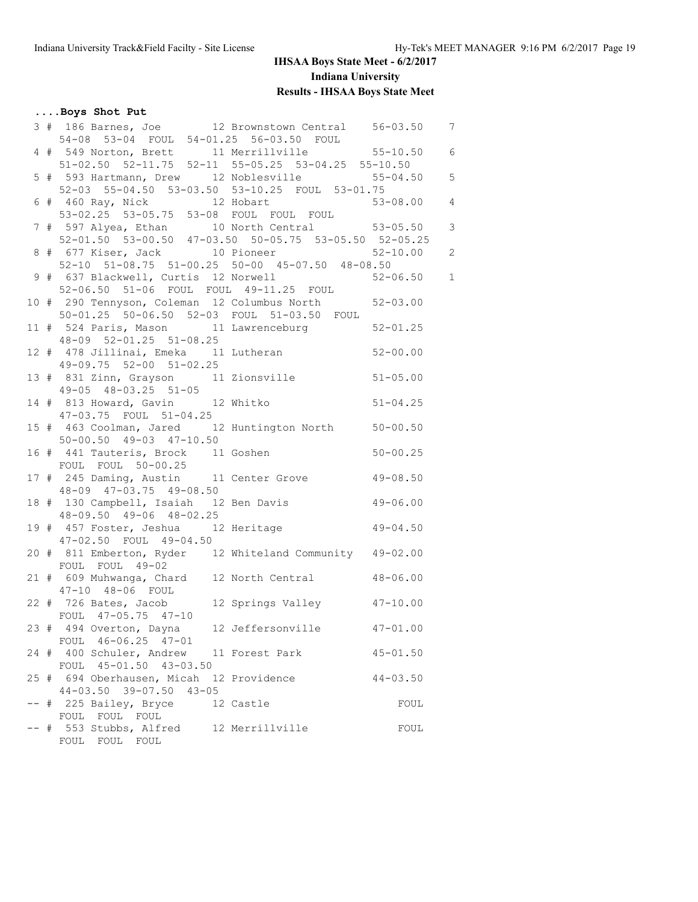## **....Boys Shot Put**

|  |                                                          | 3 # 186 Barnes, Joe      12 Brownstown Central 56-03.50 7                                                                                |  |
|--|----------------------------------------------------------|------------------------------------------------------------------------------------------------------------------------------------------|--|
|  | 54-08 53-04 FOUL 54-01.25 56-03.50 FOUL                  |                                                                                                                                          |  |
|  |                                                          | 4 # 549 Norton, Brett 11 Merrillville 55-10.50 6                                                                                         |  |
|  |                                                          | 51-02.50 52-11.75 52-11 55-05.25 53-04.25 55-10.50                                                                                       |  |
|  |                                                          | 5 # 593 Hartmann, Drew 12 Noblesville 55-04.50 5<br>5 = 52-03 55-04.50 53-03 50 53-03 50 53-04 50 53-04.50 55-04.50 55-04.50 55-04.50 55 |  |
|  | 52-03 55-04.50 53-03.50 53-10.25 FOUL 53-01.75           |                                                                                                                                          |  |
|  | 6 # 460 Ray, Nick 12 Hobart                              | $53 - 08.00$ 4                                                                                                                           |  |
|  | 53-02.25  53-05.75  53-08  FOUL  FOUL  FOUL              |                                                                                                                                          |  |
|  |                                                          | 7 # 597 Alyea, Ethan 10 North Central 53-05.50 3                                                                                         |  |
|  |                                                          | 52-01.50 53-00.50 47-03.50 50-05.75 53-05.50 52-05.25                                                                                    |  |
|  |                                                          |                                                                                                                                          |  |
|  |                                                          | 8 # 677 Kiser, Jack 10 Pioneer 52-10.00 2<br>52-10 51-08.75 51-00.25 50-00 45-07.50 48-08.50                                             |  |
|  |                                                          | 9 # 637 Blackwell, Curtis 12 Norwell 52-06.50 1                                                                                          |  |
|  | 52-06.50 51-06 FOUL FOUL 49-11.25 FOUL                   |                                                                                                                                          |  |
|  |                                                          | 10 # 290 Tennyson, Coleman 12 Columbus North 52-03.00                                                                                    |  |
|  | 50-01.25 50-06.50 52-03 FOUL 51-03.50 FOUL               |                                                                                                                                          |  |
|  |                                                          | 11 # 524 Paris, Mason 11 Lawrenceburg 52-01.25                                                                                           |  |
|  | 48-09 52-01.25 51-08.25                                  |                                                                                                                                          |  |
|  |                                                          | $48-09$ $52-01.25$ $31-00.25$<br>12 # 478 Jillinai, Emeka 11 Lutheran 52-00.00                                                           |  |
|  | 49-09.75 52-00 51-02.25                                  |                                                                                                                                          |  |
|  | 13 # 831 Zinn, Grayson 11 Zionsville 51-05.00            |                                                                                                                                          |  |
|  |                                                          | 49-05 48-03.25 51-05<br>14 # 813 Howard, Gavin 12 Whitko 51-04.25                                                                        |  |
|  |                                                          |                                                                                                                                          |  |
|  | 47-03.75 FOUL 51-04.25                                   |                                                                                                                                          |  |
|  | 15 # 463 Coolman, Jared 12 Huntington North 50-00.50     |                                                                                                                                          |  |
|  | $50 - 00.50$ $49 - 03$ $47 - 10.50$                      |                                                                                                                                          |  |
|  | 16 # 441 Tauteris, Brock 11 Goshen 50-00.25              |                                                                                                                                          |  |
|  | FOUL FOUL 50-00.25                                       |                                                                                                                                          |  |
|  | 17 # 245 Daming, Austin 11 Center Grove 49-08.50         |                                                                                                                                          |  |
|  | 48-09 47-03.75 49-08.50                                  |                                                                                                                                          |  |
|  | 18 # 130 Campbell, Isaiah 12 Ben Davis 49-06.00          |                                                                                                                                          |  |
|  | 48-09.50 49-06 48-02.25                                  |                                                                                                                                          |  |
|  | 19 # 457 Foster, Jeshua 12 Heritage 49-04.50             |                                                                                                                                          |  |
|  | 47-02.50 FOUL 49-04.50                                   |                                                                                                                                          |  |
|  | 20 # 811 Emberton, Ryder 12 Whiteland Community 49-02.00 |                                                                                                                                          |  |
|  | FOUL FOUL 49-02                                          |                                                                                                                                          |  |
|  | 21 # 609 Muhwanga, Chard 12 North Central 48-06.00       |                                                                                                                                          |  |
|  | 47-10 48-06 FOUL                                         |                                                                                                                                          |  |
|  | 22 # 726 Bates, Jacob 12 Springs Valley 47-10.00         |                                                                                                                                          |  |
|  | FOUL 47-05.75 47-10                                      |                                                                                                                                          |  |
|  |                                                          | 23 # 494 Overton, Dayna 12 Jeffersonville 47-01.00                                                                                       |  |
|  | FOUL 46-06.25 47-01                                      |                                                                                                                                          |  |
|  | 24 # 400 Schuler, Andrew 11 Forest Park                  | $45 - 01.50$                                                                                                                             |  |
|  | FOUL 45-01.50 43-03.50                                   |                                                                                                                                          |  |
|  | 25 # 694 Oberhausen, Micah 12 Providence                 | $44 - 03.50$                                                                                                                             |  |
|  | $44-03.50$ $39-07.50$ $43-05$                            |                                                                                                                                          |  |
|  | -- # 225 Bailey, Bryce 12 Castle                         | FOUL                                                                                                                                     |  |
|  | FOUL FOUL FOUL                                           |                                                                                                                                          |  |
|  | -- # 553 Stubbs, Alfred 12 Merrillville                  | FOUL                                                                                                                                     |  |
|  | FOUL FOUL FOUL                                           |                                                                                                                                          |  |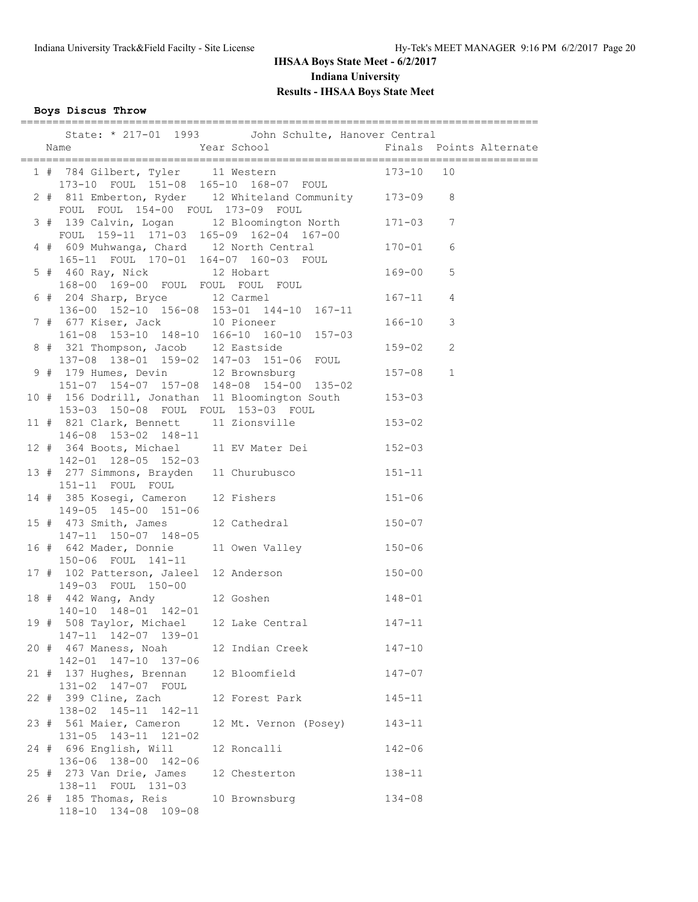**Boys Discus Throw**

|  |                                                                                | State: * 217-01 1993 John Schulte, Hanover Central                                                                                                                        |            |   |
|--|--------------------------------------------------------------------------------|---------------------------------------------------------------------------------------------------------------------------------------------------------------------------|------------|---|
|  |                                                                                | 1 # 784 Gilbert, Tyler 11 Western 173-10 10<br>173-10 FOUL 151-08 165-10 168-07 FOUL 173-10 10                                                                            |            |   |
|  | FOUL FOUL 154-00 FOUL 173-09 FOUL                                              | 2 # 811 Emberton, Ryder 12 Whiteland Community 173-09 8                                                                                                                   |            |   |
|  |                                                                                | 3 # 139 Calvin, Logan 12 Bloomington North 171-03 7                                                                                                                       |            |   |
|  |                                                                                | FOUL 159-11 171-03 165-09 162-04 167-00<br>4 # 609 Muhwanga, Chard 12 North Central 170-01<br>165-11 FOUL 170-01 164-07 160-03 FOUL<br>5 # 460 Ray, Nick 12 Hobart 169-00 |            | 6 |
|  | 168-00 169-00 FOUL FOUL FOUL FOUL                                              |                                                                                                                                                                           |            | 5 |
|  |                                                                                | 6 # 204 Sharp, Bryce 12 Carmel 167-11 4                                                                                                                                   |            |   |
|  |                                                                                | 136-00 152-10 156-08 153-01 144-10 167-11<br>7 # 677 Kiser, Jack 10 Pioneer<br>161-08 153-10 148-10 166-10 160-10 157-03                                                  | $166 - 10$ | 3 |
|  | 8 # 321 Thompson, Jacob 12 Eastside<br>137-08 138-01 159-02 147-03 151-06 FOUL |                                                                                                                                                                           | $159 - 02$ | 2 |
|  | 9 # 179 Humes, Devin 12 Brownsburg                                             | 151-07 154-07 157-08 148-08 154-00 135-02                                                                                                                                 | $157 - 08$ | 1 |
|  | 153-03 150-08 FOUL FOUL 153-03 FOUL                                            | 10 # 156 Dodrill, Jonathan 11 Bloomington South 153-03                                                                                                                    |            |   |
|  | 146-08 153-02 148-11                                                           | 11 # 821 Clark, Bennett 11 Zionsville 153-02                                                                                                                              |            |   |
|  | 142-01 128-05 152-03                                                           | 12 # 364 Boots, Michael 11 EV Mater Dei 3152-03                                                                                                                           |            |   |
|  | 151-11 FOUL FOUL                                                               | 13 # 277 Simmons, Brayden 11 Churubusco 151-11                                                                                                                            |            |   |
|  | 149-05 145-00 151-06                                                           | 14 # 385 Kosegi, Cameron 12 Fishers 151-06                                                                                                                                |            |   |
|  | 15 # 473 Smith, James<br>147-11 150-07 148-05                                  | 12 Cathedral 150-07                                                                                                                                                       |            |   |
|  | 150-06 FOUL 141-11                                                             | 16 # 642 Mader, Donnie 11 Owen Valley 150-06                                                                                                                              |            |   |
|  | 149-03 FOUL 150-00                                                             | 17 # 102 Patterson, Jaleel 12 Anderson 150-00                                                                                                                             |            |   |
|  | 140-10 148-01 142-01                                                           | 18 # 442 Wang, Andy 12 Goshen 148-01                                                                                                                                      |            |   |
|  | 147-11 142-07 139-01                                                           | 19 # 508 Taylor, Michael 12 Lake Central 147-11                                                                                                                           |            |   |
|  | 20 # 467 Maness, Noah<br>142-01 147-10 137-06                                  | 12 Indian Creek                                                                                                                                                           | $147 - 10$ |   |
|  | 21 # 137 Hughes, Brennan<br>131-02 147-07 FOUL                                 | 12 Bloomfield                                                                                                                                                             | $147 - 07$ |   |
|  | 22 # 399 Cline, Zach<br>138-02 145-11 142-11                                   | 12 Forest Park                                                                                                                                                            | $145 - 11$ |   |
|  | 23 # 561 Maier, Cameron<br>131-05 143-11 121-02                                | 12 Mt. Vernon (Posey) 143-11                                                                                                                                              |            |   |
|  | 24 # 696 English, Will<br>136-06 138-00 142-06                                 | 12 Roncalli                                                                                                                                                               | $142 - 06$ |   |
|  | 25 # 273 Van Drie, James<br>138-11 FOUL 131-03                                 | 12 Chesterton                                                                                                                                                             | 138-11     |   |
|  | 26 # 185 Thomas, Reis<br>118-10 134-08 109-08                                  | 10 Brownsburg                                                                                                                                                             | $134 - 08$ |   |